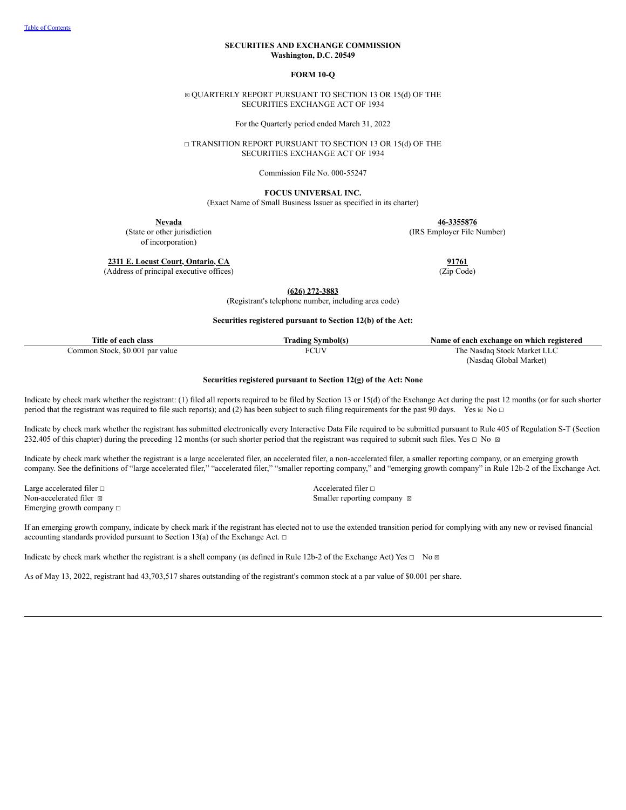#### **SECURITIES AND EXCHANGE COMMISSION Washington, D.C. 20549**

#### **FORM 10-Q**

☒ QUARTERLY REPORT PURSUANT TO SECTION 13 OR 15(d) OF THE SECURITIES EXCHANGE ACT OF 1934

For the Quarterly period ended March 31, 2022

☐ TRANSITION REPORT PURSUANT TO SECTION 13 OR 15(d) OF THE SECURITIES EXCHANGE ACT OF 1934

Commission File No. 000-55247

**FOCUS UNIVERSAL INC.**

(Exact Name of Small Business Issuer as specified in its charter)

**Nevada 46-3355876**

of incorporation)

(State or other jurisdiction (IRS Employer File Number)

**2311 E. Locust Court, Ontario, CA 91761**

(Address of principal executive offices) (Zip Code)

**(626) 272-3883**

(Registrant's telephone number, including area code)

**Securities registered pursuant to Section 12(b) of the Act:**

| Title of each class             | <b>Trading Symbol(s)</b> | Name of each exchange on which registered |
|---------------------------------|--------------------------|-------------------------------------------|
| Common Stock, \$0.001 par value | FCUV                     | The Nasdag Stock Market LLC               |
|                                 |                          | (Nasdaq Global Market)                    |

#### **Securities registered pursuant to Section 12(g) of the Act: None**

Indicate by check mark whether the registrant: (1) filed all reports required to be filed by Section 13 or 15(d) of the Exchange Act during the past 12 months (or for such shorter period that the registrant was required to file such reports); and (2) has been subject to such filing requirements for the past 90 days. Yes  $\boxtimes$  No  $\Box$ 

Indicate by check mark whether the registrant has submitted electronically every Interactive Data File required to be submitted pursuant to Rule 405 of Regulation S-T (Section 232.405 of this chapter) during the preceding 12 months (or such shorter period that the registrant was required to submit such files. Yes □ No ⊠

Indicate by check mark whether the registrant is a large accelerated filer, an accelerated filer, a non-accelerated filer, a smaller reporting company, or an emerging growth company. See the definitions of "large accelerated filer," "accelerated filer," "smaller reporting company," and "emerging growth company" in Rule 12b-2 of the Exchange Act.

Large accelerated filer □ <br>
Accelerated filer □ <br>
Accelerated filer □ Non-accelerated filer ⊠ Smaller reporting company ⊠ Emerging growth company  $□$ 

If an emerging growth company, indicate by check mark if the registrant has elected not to use the extended transition period for complying with any new or revised financial accounting standards provided pursuant to Section 13(a) of the Exchange Act.  $\Box$ 

Indicate by check mark whether the registrant is a shell company (as defined in Rule 12b-2 of the Exchange Act) Yes  $\Box$  No  $\Box$ 

As of May 13, 2022, registrant had 43,703,517 shares outstanding of the registrant's common stock at a par value of \$0.001 per share.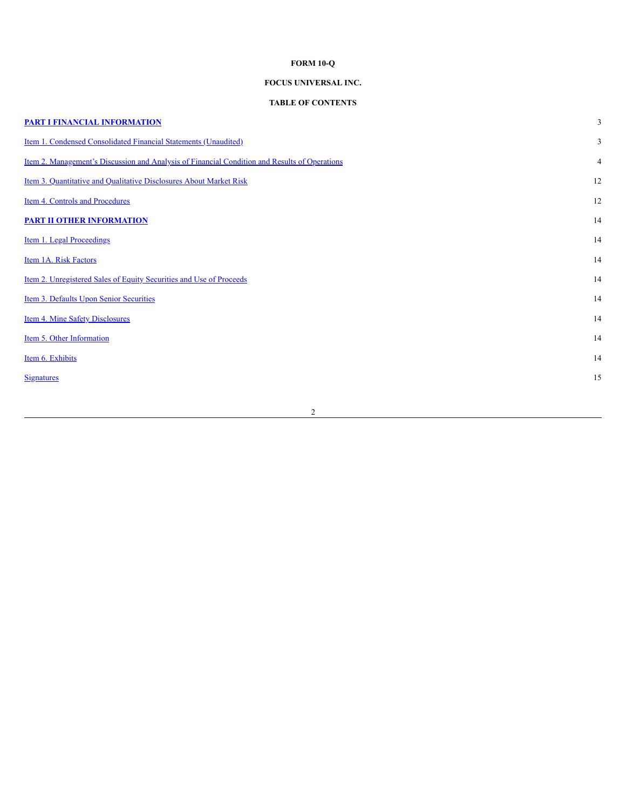# **FORM 10-Q**

# **FOCUS UNIVERSAL INC.**

# **TABLE OF CONTENTS**

<span id="page-1-0"></span>

| <b>PART I FINANCIAL INFORMATION</b>                                                                  | 3              |
|------------------------------------------------------------------------------------------------------|----------------|
| Item 1. Condensed Consolidated Financial Statements (Unaudited)                                      | 3              |
| <u>Item 2. Management's Discussion and Analysis of Financial Condition and Results of Operations</u> | $\overline{4}$ |
| Item 3. Quantitative and Qualitative Disclosures About Market Risk                                   | 12             |
| Item 4. Controls and Procedures                                                                      | 12             |
| <b>PART II OTHER INFORMATION</b>                                                                     | 14             |
| Item 1. Legal Proceedings                                                                            | 14             |
| Item 1A. Risk Factors                                                                                | 14             |
| <u>Item 2. Unregistered Sales of Equity Securities and Use of Proceeds</u>                           | 14             |
| Item 3. Defaults Upon Senior Securities                                                              | 14             |
| Item 4. Mine Safety Disclosures                                                                      | 14             |
| Item 5. Other Information                                                                            | 14             |
| Item 6. Exhibits                                                                                     | 14             |
| <b>Signatures</b>                                                                                    | 15             |
|                                                                                                      |                |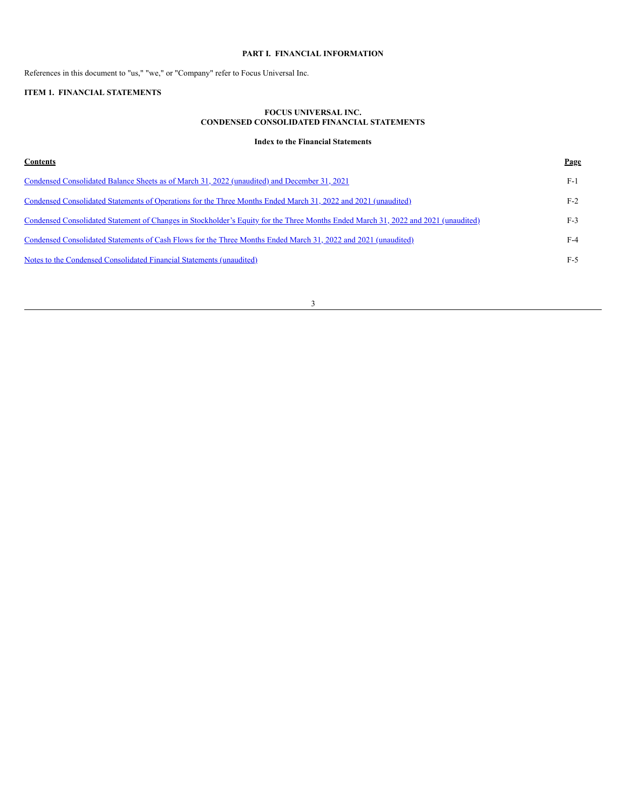# **PART I. FINANCIAL INFORMATION**

<span id="page-2-0"></span>References in this document to "us," "we," or "Company" refer to Focus Universal Inc.

# <span id="page-2-1"></span>**ITEM 1. FINANCIAL STATEMENTS**

# **FOCUS UNIVERSAL INC. CONDENSED CONSOLIDATED FINANCIAL STATEMENTS**

# **Index to the Financial Statements**

| <b>Contents</b>                                                                                                                    | Page  |
|------------------------------------------------------------------------------------------------------------------------------------|-------|
| Condensed Consolidated Balance Sheets as of March 31, 2022 (unaudited) and December 31, 2021                                       | F-1   |
| Condensed Consolidated Statements of Operations for the Three Months Ended March 31, 2022 and 2021 (unaudited)                     | $F-2$ |
| Condensed Consolidated Statement of Changes in Stockholder's Equity for the Three Months Ended March 31, 2022 and 2021 (unaudited) | $F-3$ |
| Condensed Consolidated Statements of Cash Flows for the Three Months Ended March 31, 2022 and 2021 (unaudited)                     | $F-4$ |
| Notes to the Condensed Consolidated Financial Statements (unaudited)                                                               | $F-5$ |
|                                                                                                                                    |       |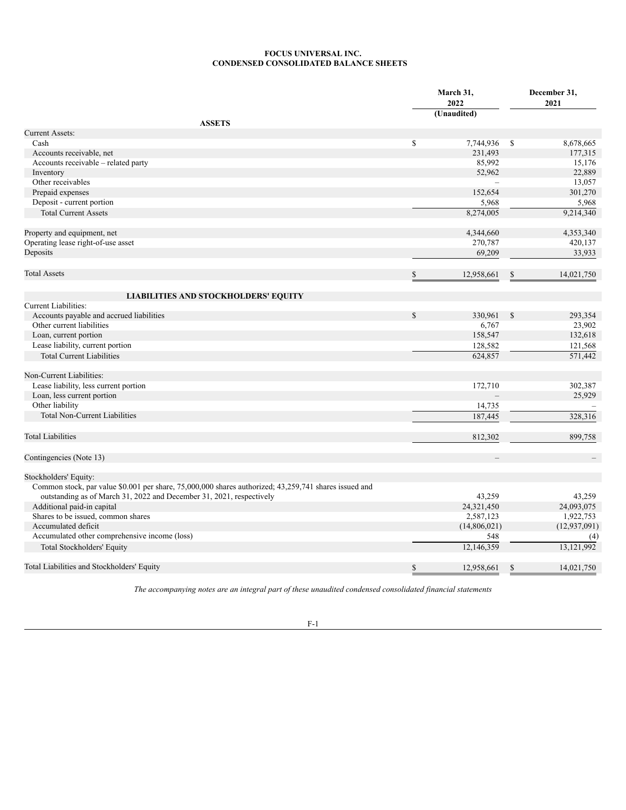# **FOCUS UNIVERSAL INC. CONDENSED CONSOLIDATED BALANCE SHEETS**

<span id="page-3-0"></span>

|                                                                                                                                                                               | March 31,<br>2022<br>(Unaudited) |              |               | December 31,<br>2021 |
|-------------------------------------------------------------------------------------------------------------------------------------------------------------------------------|----------------------------------|--------------|---------------|----------------------|
| <b>ASSETS</b>                                                                                                                                                                 |                                  |              |               |                      |
| <b>Current Assets:</b>                                                                                                                                                        |                                  |              |               |                      |
| Cash                                                                                                                                                                          | \$                               | 7,744,936    | -S            | 8,678,665            |
| Accounts receivable, net                                                                                                                                                      |                                  | 231,493      |               | 177,315              |
| Accounts receivable - related party                                                                                                                                           |                                  | 85,992       |               | 15,176               |
| Inventory                                                                                                                                                                     |                                  | 52,962       |               | 22,889               |
| Other receivables                                                                                                                                                             |                                  |              |               | 13,057               |
| Prepaid expenses                                                                                                                                                              |                                  | 152,654      |               | 301,270              |
| Deposit - current portion                                                                                                                                                     |                                  | 5,968        |               | 5,968                |
| <b>Total Current Assets</b>                                                                                                                                                   |                                  | 8,274,005    |               | 9,214,340            |
| Property and equipment, net                                                                                                                                                   |                                  | 4,344,660    |               | 4,353,340            |
| Operating lease right-of-use asset                                                                                                                                            |                                  | 270,787      |               | 420,137              |
| Deposits                                                                                                                                                                      |                                  | 69,209       |               | 33,933               |
| <b>Total Assets</b>                                                                                                                                                           | <sup>\$</sup>                    | 12,958,661   | \$            | 14,021,750           |
| <b>LIABILITIES AND STOCKHOLDERS' EQUITY</b>                                                                                                                                   |                                  |              |               |                      |
| Current Liabilities:                                                                                                                                                          |                                  |              |               |                      |
| Accounts payable and accrued liabilities                                                                                                                                      | $\mathbf S$                      | 330,961      | $\mathbb{S}$  | 293,354              |
| Other current liabilities                                                                                                                                                     |                                  | 6,767        |               | 23,902               |
| Loan, current portion                                                                                                                                                         |                                  | 158,547      |               | 132,618              |
| Lease liability, current portion                                                                                                                                              |                                  | 128,582      |               | 121,568              |
| <b>Total Current Liabilities</b>                                                                                                                                              |                                  | 624,857      |               | 571,442              |
| Non-Current Liabilities:                                                                                                                                                      |                                  |              |               |                      |
| Lease liability, less current portion                                                                                                                                         |                                  | 172,710      |               | 302,387              |
| Loan, less current portion                                                                                                                                                    |                                  |              |               | 25,929               |
| Other liability                                                                                                                                                               |                                  | 14,735       |               |                      |
| <b>Total Non-Current Liabilities</b>                                                                                                                                          |                                  | 187,445      |               | 328,316              |
| <b>Total Liabilities</b>                                                                                                                                                      |                                  | 812,302      |               | 899,758              |
| Contingencies (Note 13)                                                                                                                                                       |                                  |              |               |                      |
| Stockholders' Equity:                                                                                                                                                         |                                  |              |               |                      |
| Common stock, par value \$0.001 per share, 75,000,000 shares authorized; 43,259,741 shares issued and<br>outstanding as of March 31, 2022 and December 31, 2021, respectively |                                  | 43,259       |               | 43,259               |
| Additional paid-in capital                                                                                                                                                    |                                  | 24,321,450   |               | 24,093,075           |
| Shares to be issued, common shares                                                                                                                                            |                                  | 2,587,123    |               | 1,922,753            |
| Accumulated deficit                                                                                                                                                           |                                  | (14,806,021) |               | (12, 937, 091)       |
| Accumulated other comprehensive income (loss)                                                                                                                                 |                                  | 548          |               | (4)                  |
| <b>Total Stockholders' Equity</b>                                                                                                                                             |                                  | 12,146,359   |               | 13,121,992           |
| Total Liabilities and Stockholders' Equity                                                                                                                                    | \$                               | 12,958,661   | <sup>\$</sup> | 14,021,750           |
|                                                                                                                                                                               |                                  |              |               |                      |

*The accompanying notes are an integral part of these unaudited condensed consolidated financial statements*

F-1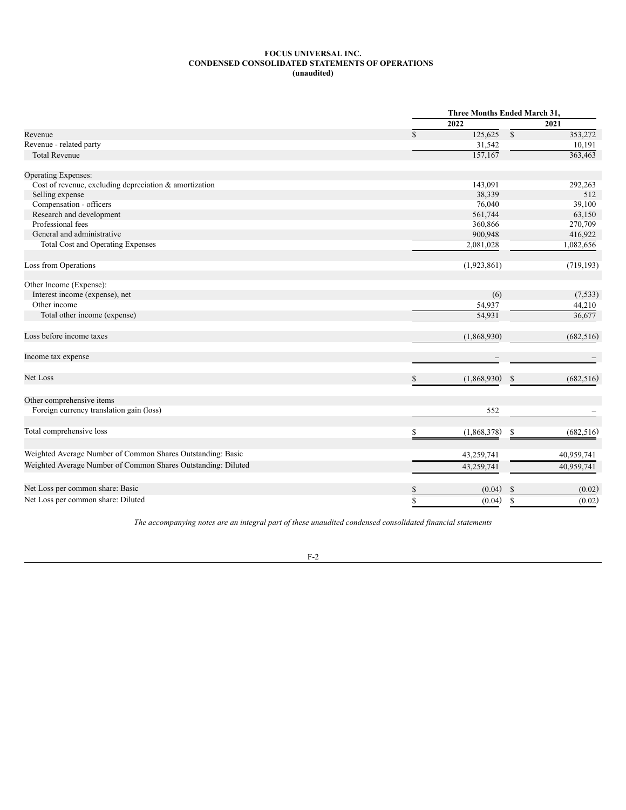# **FOCUS UNIVERSAL INC. CONDENSED CONSOLIDATED STATEMENTS OF OPERATIONS (unaudited)**

<span id="page-4-0"></span>

|                                                               | <b>Three Months Ended March 31,</b> |              |            |  |
|---------------------------------------------------------------|-------------------------------------|--------------|------------|--|
|                                                               | 2022                                |              | 2021       |  |
| Revenue                                                       | 125,625<br>$\mathbf{\hat{s}}$       | $\mathbb{S}$ | 353,272    |  |
| Revenue - related party                                       | 31,542                              |              | 10,191     |  |
| <b>Total Revenue</b>                                          | 157,167                             |              | 363,463    |  |
| <b>Operating Expenses:</b>                                    |                                     |              |            |  |
| Cost of revenue, excluding depreciation $\&$ amortization     | 143,091                             |              | 292,263    |  |
| Selling expense                                               | 38,339                              |              | 512        |  |
| Compensation - officers                                       | 76,040                              |              | 39,100     |  |
| Research and development                                      | 561,744                             |              | 63,150     |  |
| Professional fees                                             | 360,866                             |              | 270,709    |  |
| General and administrative                                    | 900,948                             |              | 416,922    |  |
| Total Cost and Operating Expenses                             | 2,081,028                           |              | 1,082,656  |  |
| Loss from Operations                                          | (1,923,861)                         |              | (719, 193) |  |
| Other Income (Expense):                                       |                                     |              |            |  |
| Interest income (expense), net                                |                                     | (6)          | (7, 533)   |  |
| Other income                                                  | 54,937                              |              | 44,210     |  |
| Total other income (expense)                                  | 54,931                              |              | 36,677     |  |
| Loss before income taxes                                      | (1,868,930)                         |              | (682, 516) |  |
| Income tax expense                                            |                                     |              |            |  |
| Net Loss                                                      | \$<br>(1,868,930)                   | S            | (682, 516) |  |
| Other comprehensive items                                     |                                     |              |            |  |
| Foreign currency translation gain (loss)                      |                                     | 552          |            |  |
| Total comprehensive loss                                      | \$<br>(1,868,378)                   | \$           | (682, 516) |  |
| Weighted Average Number of Common Shares Outstanding: Basic   | 43,259,741                          |              | 40,959,741 |  |
| Weighted Average Number of Common Shares Outstanding: Diluted | 43,259,741                          |              | 40,959,741 |  |
| Net Loss per common share: Basic                              | S                                   | (0.04)       | (0.02)     |  |
| Net Loss per common share: Diluted                            |                                     |              |            |  |
|                                                               | \$                                  | (0.04)<br>\$ | (0.02)     |  |

*The accompanying notes are an integral part of these unaudited condensed consolidated financial statements*

F-2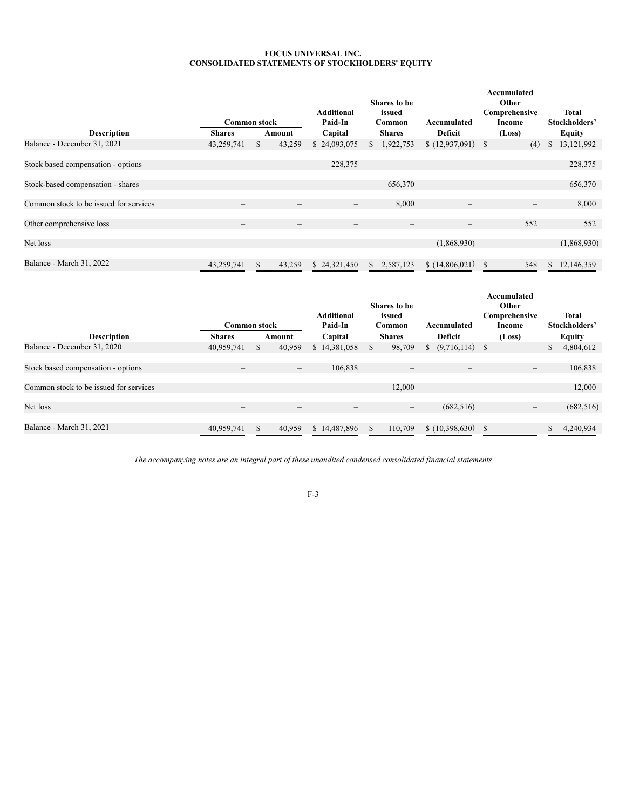# **FOCUS UNIVERSAL INC. CONSOLIDATED STATEMENTS OF STOCKHOLDERS' EQUITY**

<span id="page-5-0"></span>

|                                        |                   |                     | <b>Additional</b> | <b>Shares to be</b><br>issued   |                                 | Accumulated<br>Other<br>Comprehensive | <b>Total</b>  |
|----------------------------------------|-------------------|---------------------|-------------------|---------------------------------|---------------------------------|---------------------------------------|---------------|
|                                        |                   | <b>Common stock</b> | Paid-In           | Common                          | Accumulated                     | Income                                | Stockholders' |
| <b>Description</b>                     | <b>Shares</b>     | Amount              | Capital           | <b>Shares</b>                   | Deficit                         | (Loss)                                | <b>Equity</b> |
| Balance - December 31, 2021            | 43,259,741        | 43,259              | \$24,093,075      | 1,922,753                       | (12, 937, 091)                  | (4)                                   | 13, 121, 992  |
| Stock based compensation - options     |                   | $\qquad -$          | 228,375           | $\hspace{0.1mm}-\hspace{0.1mm}$ |                                 | $\qquad \qquad -$                     | 228,375       |
| Stock-based compensation - shares      | $\qquad \qquad -$ | $\qquad \qquad$     | $\qquad \qquad -$ | 656,370                         | $\hspace{0.1mm}-\hspace{0.1mm}$ | $\qquad \qquad -$                     | 656,370       |
| Common stock to be issued for services | $\qquad \qquad -$ | $\qquad \qquad$     |                   | 8,000                           | $\hspace{0.1mm}-\hspace{0.1mm}$ | $\qquad \qquad -$                     | 8,000         |
| Other comprehensive loss               |                   |                     |                   |                                 |                                 | 552                                   | 552           |
| Net loss                               | $\qquad \qquad -$ | $\qquad \qquad$     |                   | $\overline{\phantom{m}}$        | (1,868,930)                     | $\qquad \qquad -$                     | (1,868,930)   |
| Balance - March 31, 2022               | 43,259,741        | 43,259              | \$24,321,450      | 2,587,123                       | \$(14,806,021)                  | 548                                   | 12,146,359    |

|                                        |                                 | <b>Common stock</b> | <b>Additional</b><br>Paid-In | Shares to be<br>issued<br>Common | Accumulated       | Accumulated<br>Other<br>Comprehensive<br>Income | <b>Total</b><br>Stockholders' |
|----------------------------------------|---------------------------------|---------------------|------------------------------|----------------------------------|-------------------|-------------------------------------------------|-------------------------------|
| <b>Description</b>                     | <b>Shares</b>                   | Amount              | Capital                      | <b>Shares</b>                    | Deficit           | (Loss)                                          | <b>Equity</b>                 |
| Balance - December 31, 2020            | 40,959,741                      | 40,959              | \$14,381,058                 | 98,709                           | (9,716,114)       | \$<br>$\hspace{0.1mm}-\hspace{0.1mm}$           | 4,804,612                     |
| Stock based compensation - options     | $\hspace{0.1mm}-\hspace{0.1mm}$ | $\qquad \qquad -$   | 106,838                      | $\qquad \qquad -$                |                   | $\qquad \qquad -$                               | 106,838                       |
| Common stock to be issued for services | $\hspace{0.1mm}-\hspace{0.1mm}$ |                     | $\qquad \qquad -$            | 12.000                           | $\qquad \qquad -$ | $\qquad -$                                      | 12,000                        |
| Net loss                               | $\hspace{0.1mm}-\hspace{0.1mm}$ |                     | $\qquad \qquad -$            | $\qquad \qquad -$                | (682, 516)        | $\qquad \qquad -$                               | (682, 516)                    |
| Balance - March 31, 2021               | 40.959.741                      | 40.959              | \$14,487,896                 | 110,709                          | \$(10.398.630)    | $\overline{\phantom{m}}$                        | 4,240,934<br>\$               |

*The accompanying notes are an integral part of these unaudited condensed consolidated financial statements*

F-3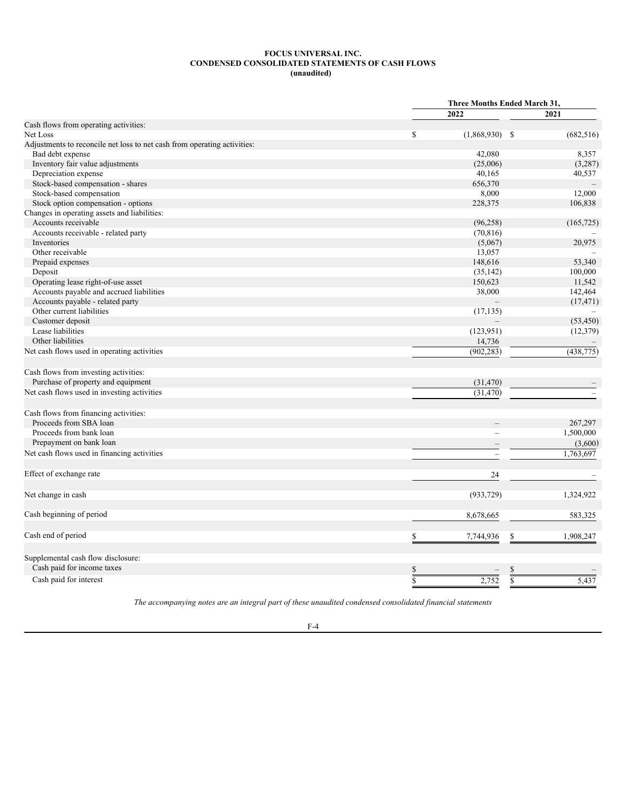# **FOCUS UNIVERSAL INC. CONDENSED CONSOLIDATED STATEMENTS OF CASH FLOWS (unaudited)**

<span id="page-6-0"></span>

|                                                                          |           | <b>Three Months Ended March 31,</b> |                         |            |
|--------------------------------------------------------------------------|-----------|-------------------------------------|-------------------------|------------|
|                                                                          |           | 2022                                |                         | 2021       |
| Cash flows from operating activities:                                    |           |                                     |                         |            |
| Net Loss                                                                 | \$        | $(1,868,930)$ \$                    |                         | (682, 516) |
| Adjustments to reconcile net loss to net cash from operating activities: |           |                                     |                         |            |
| Bad debt expense                                                         |           | 42,080                              |                         | 8,357      |
| Inventory fair value adjustments                                         |           | (25,006)                            |                         | (3,287)    |
| Depreciation expense                                                     |           | 40,165                              |                         | 40,537     |
| Stock-based compensation - shares                                        |           | 656,370                             |                         |            |
| Stock-based compensation                                                 |           | 8,000                               |                         | 12,000     |
| Stock option compensation - options                                      |           | 228,375                             |                         | 106,838    |
| Changes in operating assets and liabilities:                             |           |                                     |                         |            |
| Accounts receivable                                                      |           | (96, 258)                           |                         | (165, 725) |
| Accounts receivable - related party                                      |           | (70, 816)                           |                         |            |
| Inventories                                                              |           | (5,067)                             |                         | 20,975     |
| Other receivable                                                         |           | 13,057                              |                         |            |
| Prepaid expenses                                                         |           | 148,616                             |                         | 53,340     |
| Deposit                                                                  |           | (35, 142)                           |                         | 100,000    |
| Operating lease right-of-use asset                                       |           | 150,623                             |                         | 11,542     |
| Accounts payable and accrued liabilities                                 |           | 38,000                              |                         | 142,464    |
| Accounts payable - related party                                         |           |                                     |                         | (17, 471)  |
| Other current liabilities                                                |           | (17, 135)                           |                         |            |
| Customer deposit                                                         |           |                                     |                         | (53, 450)  |
| Lease liabilities                                                        |           | (123, 951)                          |                         | (12,379)   |
| Other liabilities                                                        |           | 14,736                              |                         |            |
| Net cash flows used in operating activities                              |           | (902, 283)                          |                         | (438, 775) |
| Cash flows from investing activities:                                    |           |                                     |                         |            |
| Purchase of property and equipment                                       |           | (31, 470)                           |                         |            |
| Net cash flows used in investing activities                              |           | (31, 470)                           |                         |            |
| Cash flows from financing activities:                                    |           |                                     |                         |            |
| Proceeds from SBA loan                                                   |           | $\overline{\phantom{a}}$            |                         | 267,297    |
| Proceeds from bank loan                                                  |           | $\overline{\phantom{a}}$            |                         | 1,500,000  |
| Prepayment on bank loan                                                  |           |                                     |                         | (3,600)    |
| Net cash flows used in financing activities                              |           |                                     |                         | 1,763,697  |
|                                                                          |           |                                     |                         |            |
| Effect of exchange rate                                                  |           | 24                                  |                         |            |
| Net change in cash                                                       |           | (933, 729)                          |                         | 1,324,922  |
| Cash beginning of period                                                 |           | 8,678,665                           |                         | 583,325    |
|                                                                          |           |                                     |                         |            |
| Cash end of period                                                       | \$        | 7,744,936                           | \$                      | 1,908,247  |
| Supplemental cash flow disclosure:                                       |           |                                     |                         |            |
| Cash paid for income taxes                                               | \$        |                                     | \$                      |            |
| Cash paid for interest                                                   | $\bar{s}$ | 2,752                               | $\overline{\mathbb{S}}$ | 5,437      |

*The accompanying notes are an integral part of these unaudited condensed consolidated financial statements*

F-4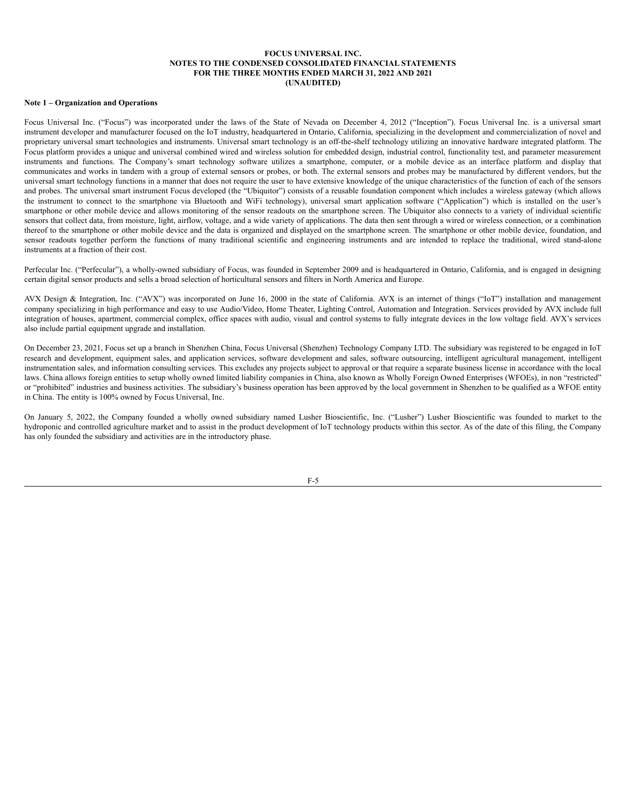# **FOCUS UNIVERSAL INC. NOTES TO THE CONDENSED CONSOLIDATED FINANCIAL STATEMENTS FOR THE THREE MONTHS ENDED MARCH 31, 2022 AND 2021 (UNAUDITED)**

# <span id="page-7-0"></span>**Note 1 – Organization and Operations**

Focus Universal Inc. ("Focus") was incorporated under the laws of the State of Nevada on December 4, 2012 ("Inception"). Focus Universal Inc. is a universal smart instrument developer and manufacturer focused on the IoT industry, headquartered in Ontario, California, specializing in the development and commercialization of novel and proprietary universal smart technologies and instruments. Universal smart technology is an off-the-shelf technology utilizing an innovative hardware integrated platform. The Focus platform provides a unique and universal combined wired and wireless solution for embedded design, industrial control, functionality test, and parameter measurement instruments and functions. The Company's smart technology software utilizes a smartphone, computer, or a mobile device as an interface platform and display that communicates and works in tandem with a group of external sensors or probes, or both. The external sensors and probes may be manufactured by different vendors, but the universal smart technology functions in a manner that does not require the user to have extensive knowledge of the unique characteristics of the function of each of the sensors and probes. The universal smart instrument Focus developed (the "Ubiquitor") consists of a reusable foundation component which includes a wireless gateway (which allows the instrument to connect to the smartphone via Bluetooth and WiFi technology), universal smart application software ("Application") which is installed on the user's smartphone or other mobile device and allows monitoring of the sensor readouts on the smartphone screen. The Ubiquitor also connects to a variety of individual scientific sensors that collect data, from moisture, light, airflow, voltage, and a wide variety of applications. The data then sent through a wired or wireless connection, or a combination thereof to the smartphone or other mobile device and the data is organized and displayed on the smartphone screen. The smartphone or other mobile device, foundation, and sensor readouts together perform the functions of many traditional scientific and engineering instruments and are intended to replace the traditional, wired stand-alone instruments at a fraction of their cost.

Perfecular Inc. ("Perfecular"), a wholly-owned subsidiary of Focus, was founded in September 2009 and is headquartered in Ontario, California, and is engaged in designing certain digital sensor products and sells a broad selection of horticultural sensors and filters in North America and Europe.

AVX Design & Integration, Inc. ("AVX") was incorporated on June 16, 2000 in the state of California. AVX is an internet of things ("IoT") installation and management company specializing in high performance and easy to use Audio/Video, Home Theater, Lighting Control, Automation and Integration. Services provided by AVX include full integration of houses, apartment, commercial complex, office spaces with audio, visual and control systems to fully integrate devices in the low voltage field. AVX's services also include partial equipment upgrade and installation.

On December 23, 2021, Focus set up a branch in Shenzhen China, Focus Universal (Shenzhen) Technology Company LTD. The subsidiary was registered to be engaged in IoT research and development, equipment sales, and application services, software development and sales, software outsourcing, intelligent agricultural management, intelligent instrumentation sales, and information consulting services. This excludes any projects subject to approval or that require a separate business license in accordance with the local laws. China allows foreign entities to setup wholly owned limited liability companies in China, also known as Wholly Foreign Owned Enterprises (WFOEs), in non "restricted" or "prohibited" industries and business activities. The subsidiary's business operation has been approved by the local government in Shenzhen to be qualified as a WFOE entity in China. The entity is 100% owned by Focus Universal, Inc.

On January 5, 2022, the Company founded a wholly owned subsidiary named Lusher Bioscientific, Inc. ("Lusher") Lusher Bioscientific was founded to market to the hydroponic and controlled agriculture market and to assist in the product development of IoT technology products within this sector. As of the date of this filing, the Company has only founded the subsidiary and activities are in the introductory phase.

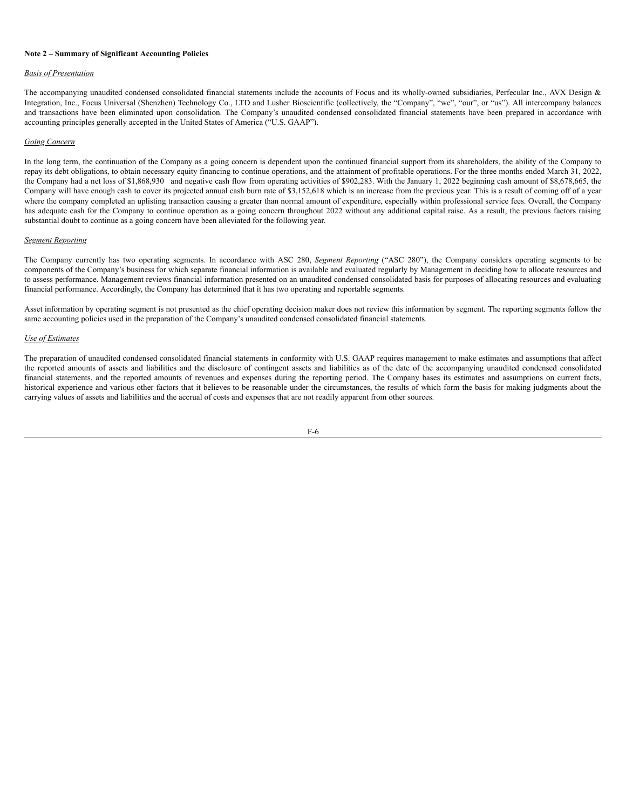### **Note 2 – Summary of Significant Accounting Policies**

# *Basis of Presentation*

The accompanying unaudited condensed consolidated financial statements include the accounts of Focus and its wholly-owned subsidiaries, Perfecular Inc., AVX Design & Integration, Inc., Focus Universal (Shenzhen) Technology Co., LTD and Lusher Bioscientific (collectively, the "Company", "we", "our", or "us"). All intercompany balances and transactions have been eliminated upon consolidation. The Company's unaudited condensed consolidated financial statements have been prepared in accordance with accounting principles generally accepted in the United States of America ("U.S. GAAP").

#### *Going Concern*

In the long term, the continuation of the Company as a going concern is dependent upon the continued financial support from its shareholders, the ability of the Company to repay its debt obligations, to obtain necessary equity financing to continue operations, and the attainment of profitable operations. For the three months ended March 31, 2022, the Company had a net loss of \$1,868,930 and negative cash flow from operating activities of \$902,283. With the January 1, 2022 beginning cash amount of \$8,678,665, the Company will have enough cash to cover its projected annual cash burn rate of \$3,152,618 which is an increase from the previous year. This is a result of coming off of a year where the company completed an uplisting transaction causing a greater than normal amount of expenditure, especially within professional service fees. Overall, the Company has adequate cash for the Company to continue operation as a going concern throughout 2022 without any additional capital raise. As a result, the previous factors raising substantial doubt to continue as a going concern have been alleviated for the following year.

# *Segment Reporting*

The Company currently has two operating segments. In accordance with ASC 280, *Segment Reporting* ("ASC 280"), the Company considers operating segments to be components of the Company's business for which separate financial information is available and evaluated regularly by Management in deciding how to allocate resources and to assess performance. Management reviews financial information presented on an unaudited condensed consolidated basis for purposes of allocating resources and evaluating financial performance. Accordingly, the Company has determined that it has two operating and reportable segments.

Asset information by operating segment is not presented as the chief operating decision maker does not review this information by segment. The reporting segments follow the same accounting policies used in the preparation of the Company's unaudited condensed consolidated financial statements.

# *Use of Estimates*

The preparation of unaudited condensed consolidated financial statements in conformity with U.S. GAAP requires management to make estimates and assumptions that affect the reported amounts of assets and liabilities and the disclosure of contingent assets and liabilities as of the date of the accompanying unaudited condensed consolidated financial statements, and the reported amounts of revenues and expenses during the reporting period. The Company bases its estimates and assumptions on current facts, historical experience and various other factors that it believes to be reasonable under the circumstances, the results of which form the basis for making judgments about the carrying values of assets and liabilities and the accrual of costs and expenses that are not readily apparent from other sources.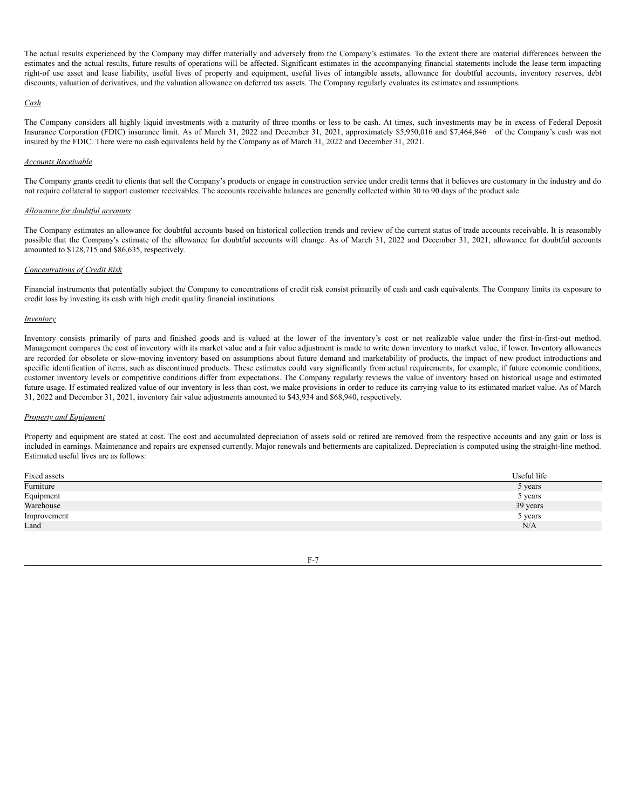The actual results experienced by the Company may differ materially and adversely from the Company's estimates. To the extent there are material differences between the estimates and the actual results, future results of operations will be affected. Significant estimates in the accompanying financial statements include the lease term impacting right-of use asset and lease liability, useful lives of property and equipment, useful lives of intangible assets, allowance for doubtful accounts, inventory reserves, debt discounts, valuation of derivatives, and the valuation allowance on deferred tax assets. The Company regularly evaluates its estimates and assumptions.

## *Cash*

The Company considers all highly liquid investments with a maturity of three months or less to be cash. At times, such investments may be in excess of Federal Deposit Insurance Corporation (FDIC) insurance limit. As of March 31, 2022 and December 31, 2021, approximately \$5,950,016 and \$7,464,846 of the Company's cash was not insured by the FDIC. There were no cash equivalents held by the Company as of March 31, 2022 and December 31, 2021.

## *Accounts Receivable*

The Company grants credit to clients that sell the Company's products or engage in construction service under credit terms that it believes are customary in the industry and do not require collateral to support customer receivables. The accounts receivable balances are generally collected within 30 to 90 days of the product sale.

#### *Allowance for doubtful accounts*

The Company estimates an allowance for doubtful accounts based on historical collection trends and review of the current status of trade accounts receivable. It is reasonably possible that the Company's estimate of the allowance for doubtful accounts will change. As of March 31, 2022 and December 31, 2021, allowance for doubtful accounts amounted to \$128,715 and \$86,635, respectively.

#### *Concentrations of Credit Risk*

Financial instruments that potentially subject the Company to concentrations of credit risk consist primarily of cash and cash equivalents. The Company limits its exposure to credit loss by investing its cash with high credit quality financial institutions.

### *Inventory*

Inventory consists primarily of parts and finished goods and is valued at the lower of the inventory's cost or net realizable value under the first-in-first-out method. Management compares the cost of inventory with its market value and a fair value adjustment is made to write down inventory to market value, if lower. Inventory allowances are recorded for obsolete or slow-moving inventory based on assumptions about future demand and marketability of products, the impact of new product introductions and specific identification of items, such as discontinued products. These estimates could vary significantly from actual requirements, for example, if future economic conditions, customer inventory levels or competitive conditions differ from expectations. The Company regularly reviews the value of inventory based on historical usage and estimated future usage. If estimated realized value of our inventory is less than cost, we make provisions in order to reduce its carrying value to its estimated market value. As of March 31, 2022 and December 31, 2021, inventory fair value adjustments amounted to \$43,934 and \$68,940, respectively.

## *Property and Equipment*

Property and equipment are stated at cost. The cost and accumulated depreciation of assets sold or retired are removed from the respective accounts and any gain or loss is included in earnings. Maintenance and repairs are expensed currently. Major renewals and betterments are capitalized. Depreciation is computed using the straight-line method. Estimated useful lives are as follows:

| Fixed assets | Useful life |
|--------------|-------------|
| Furniture    | 5 years     |
| Equipment    | 5 years     |
| Warehouse    | 39 years    |
| Improvement  | 5 years     |
| Land         | N/A         |

F-7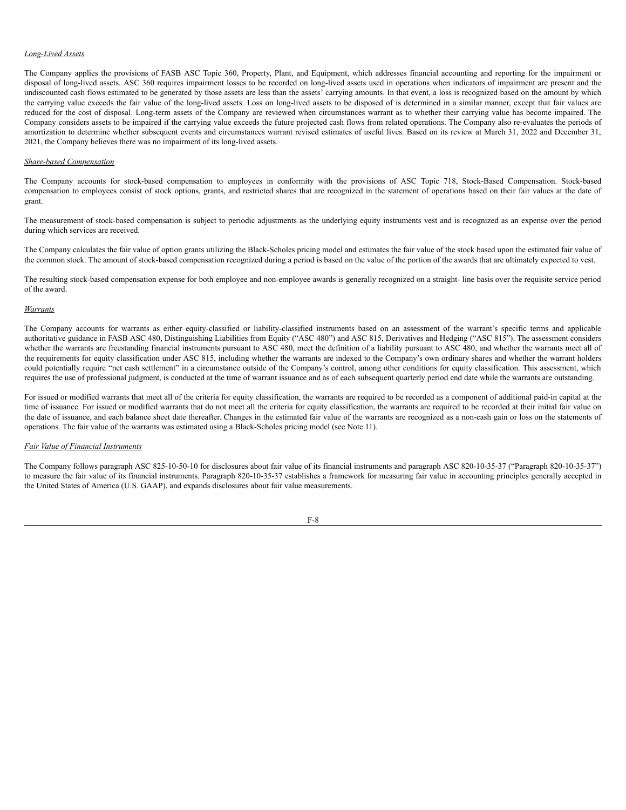# *Long-Lived Assets*

The Company applies the provisions of FASB ASC Topic 360, Property, Plant, and Equipment, which addresses financial accounting and reporting for the impairment or disposal of long-lived assets. ASC 360 requires impairment losses to be recorded on long-lived assets used in operations when indicators of impairment are present and the undiscounted cash flows estimated to be generated by those assets are less than the assets' carrying amounts. In that event, a loss is recognized based on the amount by which the carrying value exceeds the fair value of the long-lived assets. Loss on long-lived assets to be disposed of is determined in a similar manner, except that fair values are reduced for the cost of disposal. Long-term assets of the Company are reviewed when circumstances warrant as to whether their carrying value has become impaired. The Company considers assets to be impaired if the carrying value exceeds the future projected cash flows from related operations. The Company also re-evaluates the periods of amortization to determine whether subsequent events and circumstances warrant revised estimates of useful lives. Based on its review at March 31, 2022 and December 31, 2021, the Company believes there was no impairment of its long-lived assets.

## *Share-based Compensation*

The Company accounts for stock-based compensation to employees in conformity with the provisions of ASC Topic 718, Stock-Based Compensation. Stock-based compensation to employees consist of stock options, grants, and restricted shares that are recognized in the statement of operations based on their fair values at the date of grant.

The measurement of stock-based compensation is subject to periodic adjustments as the underlying equity instruments vest and is recognized as an expense over the period during which services are received.

The Company calculates the fair value of option grants utilizing the Black-Scholes pricing model and estimates the fair value of the stock based upon the estimated fair value of the common stock. The amount of stock-based compensation recognized during a period is based on the value of the portion of the awards that are ultimately expected to vest.

The resulting stock-based compensation expense for both employee and non-employee awards is generally recognized on a straight- line basis over the requisite service period of the award.

#### *Warrants*

The Company accounts for warrants as either equity-classified or liability-classified instruments based on an assessment of the warrant's specific terms and applicable authoritative guidance in FASB ASC 480, Distinguishing Liabilities from Equity ("ASC 480") and ASC 815, Derivatives and Hedging ("ASC 815"). The assessment considers whether the warrants are freestanding financial instruments pursuant to ASC 480, meet the definition of a liability pursuant to ASC 480, and whether the warrants meet all of the requirements for equity classification under ASC 815, including whether the warrants are indexed to the Company's own ordinary shares and whether the warrant holders could potentially require "net cash settlement" in a circumstance outside of the Company's control, among other conditions for equity classification. This assessment, which requires the use of professional judgment, is conducted at the time of warrant issuance and as of each subsequent quarterly period end date while the warrants are outstanding.

For issued or modified warrants that meet all of the criteria for equity classification, the warrants are required to be recorded as a component of additional paid-in capital at the time of issuance. For issued or modified warrants that do not meet all the criteria for equity classification, the warrants are required to be recorded at their initial fair value on the date of issuance, and each balance sheet date thereafter. Changes in the estimated fair value of the warrants are recognized as a non-cash gain or loss on the statements of operations. The fair value of the warrants was estimated using a Black-Scholes pricing model (see Note 11).

#### *Fair Value of Financial Instruments*

The Company follows paragraph ASC 825-10-50-10 for disclosures about fair value of its financial instruments and paragraph ASC 820-10-35-37 ("Paragraph 820-10-35-37") to measure the fair value of its financial instruments. Paragraph 820-10-35-37 establishes a framework for measuring fair value in accounting principles generally accepted in the United States of America (U.S. GAAP), and expands disclosures about fair value measurements.

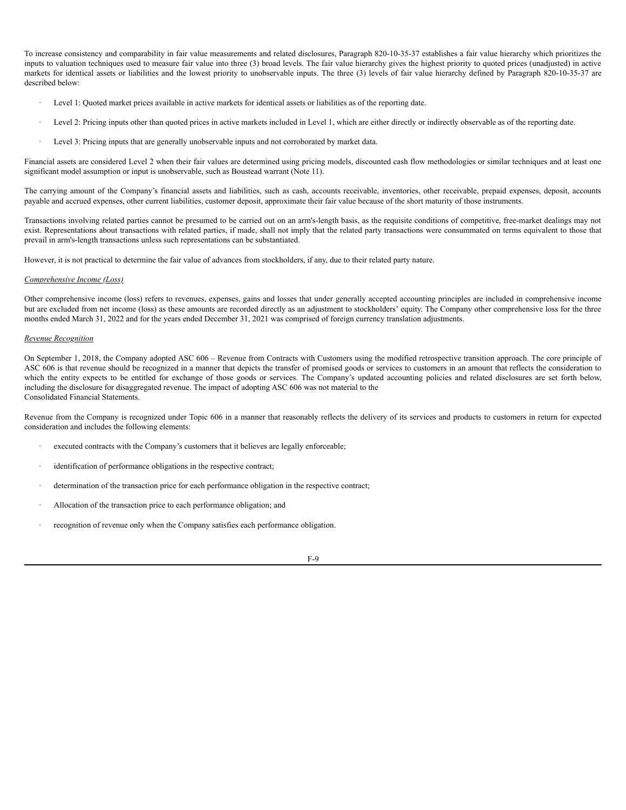To increase consistency and comparability in fair value measurements and related disclosures, Paragraph 820-10-35-37 establishes a fair value hierarchy which prioritizes the inputs to valuation techniques used to measure fair value into three (3) broad levels. The fair value hierarchy gives the highest priority to quoted prices (unadjusted) in active markets for identical assets or liabilities and the lowest priority to unobservable inputs. The three (3) levels of fair value hierarchy defined by Paragraph 820-10-35-37 are described below:

- Level 1: Quoted market prices available in active markets for identical assets or liabilities as of the reporting date.
- Level 2: Pricing inputs other than quoted prices in active markets included in Level 1, which are either directly or indirectly observable as of the reporting date.
- Level 3: Pricing inputs that are generally unobservable inputs and not corroborated by market data.

Financial assets are considered Level 2 when their fair values are determined using pricing models, discounted cash flow methodologies or similar techniques and at least one significant model assumption or input is unobservable, such as Boustead warrant (Note 11).

The carrying amount of the Company's financial assets and liabilities, such as cash, accounts receivable, inventories, other receivable, prepaid expenses, deposit, accounts payable and accrued expenses, other current liabilities, customer deposit, approximate their fair value because of the short maturity of those instruments.

Transactions involving related parties cannot be presumed to be carried out on an arm's-length basis, as the requisite conditions of competitive, free-market dealings may not exist. Representations about transactions with related parties, if made, shall not imply that the related party transactions were consummated on terms equivalent to those that prevail in arm's-length transactions unless such representations can be substantiated.

However, it is not practical to determine the fair value of advances from stockholders, if any, due to their related party nature.

# *Comprehensive Income (Loss)*

Other comprehensive income (loss) refers to revenues, expenses, gains and losses that under generally accepted accounting principles are included in comprehensive income but are excluded from net income (loss) as these amounts are recorded directly as an adjustment to stockholders' equity. The Company other comprehensive loss for the three months ended March 31, 2022 and for the years ended December 31, 2021 was comprised of foreign currency translation adjustments.

# *Revenue Recognition*

On September 1, 2018, the Company adopted ASC 606 – Revenue from Contracts with Customers using the modified retrospective transition approach. The core principle of ASC 606 is that revenue should be recognized in a manner that depicts the transfer of promised goods or services to customers in an amount that reflects the consideration to which the entity expects to be entitled for exchange of those goods or services. The Company's updated accounting policies and related disclosures are set forth below, including the disclosure for disaggregated revenue. The impact of adopting ASC 606 was not material to the Consolidated Financial Statements.

Revenue from the Company is recognized under Topic 606 in a manner that reasonably reflects the delivery of its services and products to customers in return for expected consideration and includes the following elements:

- executed contracts with the Company's customers that it believes are legally enforceable;
- identification of performance obligations in the respective contract;
- determination of the transaction price for each performance obligation in the respective contract;
- Allocation of the transaction price to each performance obligation; and
- recognition of revenue only when the Company satisfies each performance obligation.

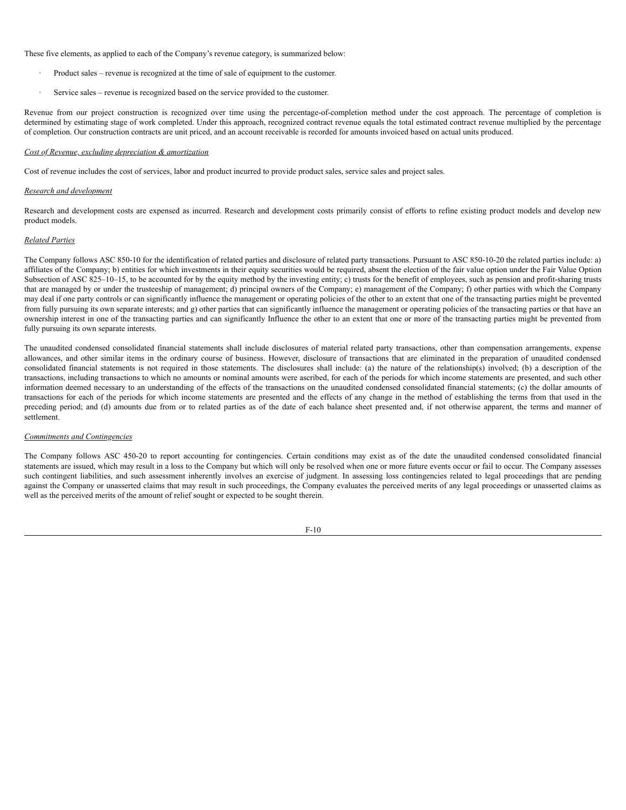These five elements, as applied to each of the Company's revenue category, is summarized below:

- Product sales revenue is recognized at the time of sale of equipment to the customer.
- Service sales revenue is recognized based on the service provided to the customer.

Revenue from our project construction is recognized over time using the percentage-of-completion method under the cost approach. The percentage of completion is determined by estimating stage of work completed. Under this approach, recognized contract revenue equals the total estimated contract revenue multiplied by the percentage of completion. Our construction contracts are unit priced, and an account receivable is recorded for amounts invoiced based on actual units produced.

## *Cost of Revenue, excluding depreciation & amortization*

Cost of revenue includes the cost of services, labor and product incurred to provide product sales, service sales and project sales.

### *Research and development*

Research and development costs are expensed as incurred. Research and development costs primarily consist of efforts to refine existing product models and develop new product models.

### *Related Parties*

The Company follows ASC 850-10 for the identification of related parties and disclosure of related party transactions. Pursuant to ASC 850-10-20 the related parties include: a) affiliates of the Company; b) entities for which investments in their equity securities would be required, absent the election of the fair value option under the Fair Value Option Subsection of ASC 825–10–15, to be accounted for by the equity method by the investing entity; c) trusts for the benefit of employees, such as pension and profit-sharing trusts that are managed by or under the trusteeship of management; d) principal owners of the Company; e) management of the Company; f) other parties with which the Company may deal if one party controls or can significantly influence the management or operating policies of the other to an extent that one of the transacting parties might be prevented from fully pursuing its own separate interests; and g) other parties that can significantly influence the management or operating policies of the transacting parties or that have an ownership interest in one of the transacting parties and can significantly Influence the other to an extent that one or more of the transacting parties might be prevented from fully pursuing its own separate interests.

The unaudited condensed consolidated financial statements shall include disclosures of material related party transactions, other than compensation arrangements, expense allowances, and other similar items in the ordinary course of business. However, disclosure of transactions that are eliminated in the preparation of unaudited condensed consolidated financial statements is not required in those statements. The disclosures shall include: (a) the nature of the relationship(s) involved; (b) a description of the transactions, including transactions to which no amounts or nominal amounts were ascribed, for each of the periods for which income statements are presented, and such other information deemed necessary to an understanding of the effects of the transactions on the unaudited condensed consolidated financial statements; (c) the dollar amounts of transactions for each of the periods for which income statements are presented and the effects of any change in the method of establishing the terms from that used in the preceding period; and (d) amounts due from or to related parties as of the date of each balance sheet presented and, if not otherwise apparent, the terms and manner of settlement.

# *Commitments and Contingencies*

The Company follows ASC 450-20 to report accounting for contingencies. Certain conditions may exist as of the date the unaudited condensed consolidated financial statements are issued, which may result in a loss to the Company but which will only be resolved when one or more future events occur or fail to occur. The Company assesses such contingent liabilities, and such assessment inherently involves an exercise of judgment. In assessing loss contingencies related to legal proceedings that are pending against the Company or unasserted claims that may result in such proceedings, the Company evaluates the perceived merits of any legal proceedings or unasserted claims as well as the perceived merits of the amount of relief sought or expected to be sought therein.

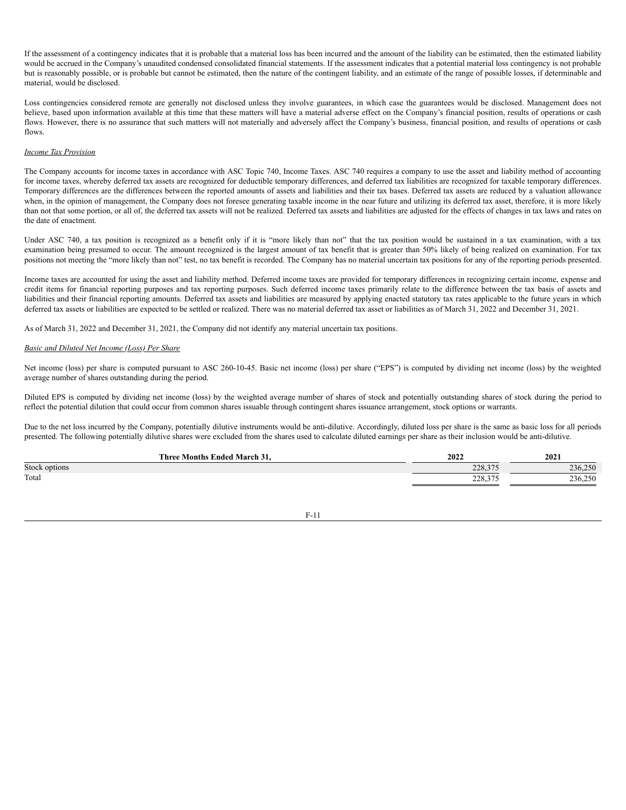If the assessment of a contingency indicates that it is probable that a material loss has been incurred and the amount of the liability can be estimated, then the estimated liability would be accrued in the Company's unaudited condensed consolidated financial statements. If the assessment indicates that a potential material loss contingency is not probable but is reasonably possible, or is probable but cannot be estimated, then the nature of the contingent liability, and an estimate of the range of possible losses, if determinable and material, would be disclosed.

Loss contingencies considered remote are generally not disclosed unless they involve guarantees, in which case the guarantees would be disclosed. Management does not believe, based upon information available at this time that these matters will have a material adverse effect on the Company's financial position, results of operations or cash flows. However, there is no assurance that such matters will not materially and adversely affect the Company's business, financial position, and results of operations or cash flows.

# *Income Tax Provision*

The Company accounts for income taxes in accordance with ASC Topic 740, Income Taxes. ASC 740 requires a company to use the asset and liability method of accounting for income taxes, whereby deferred tax assets are recognized for deductible temporary differences, and deferred tax liabilities are recognized for taxable temporary differences. Temporary differences are the differences between the reported amounts of assets and liabilities and their tax bases. Deferred tax assets are reduced by a valuation allowance when, in the opinion of management, the Company does not foresee generating taxable income in the near future and utilizing its deferred tax asset, therefore, it is more likely than not that some portion, or all of, the deferred tax assets will not be realized. Deferred tax assets and liabilities are adjusted for the effects of changes in tax laws and rates on the date of enactment.

Under ASC 740, a tax position is recognized as a benefit only if it is "more likely than not" that the tax position would be sustained in a tax examination, with a tax examination being presumed to occur. The amount recognized is the largest amount of tax benefit that is greater than 50% likely of being realized on examination. For tax positions not meeting the "more likely than not" test, no tax benefit is recorded. The Company has no material uncertain tax positions for any of the reporting periods presented.

Income taxes are accounted for using the asset and liability method. Deferred income taxes are provided for temporary differences in recognizing certain income, expense and credit items for financial reporting purposes and tax reporting purposes. Such deferred income taxes primarily relate to the difference between the tax basis of assets and liabilities and their financial reporting amounts. Deferred tax assets and liabilities are measured by applying enacted statutory tax rates applicable to the future years in which deferred tax assets or liabilities are expected to be settled or realized. There was no material deferred tax asset or liabilities as of March 31, 2022 and December 31, 2021.

As of March 31, 2022 and December 31, 2021, the Company did not identify any material uncertain tax positions.

# *Basic and Diluted Net Income (Loss) Per Share*

Net income (loss) per share is computed pursuant to ASC 260-10-45. Basic net income (loss) per share ("EPS") is computed by dividing net income (loss) by the weighted average number of shares outstanding during the period.

Diluted EPS is computed by dividing net income (loss) by the weighted average number of shares of stock and potentially outstanding shares of stock during the period to reflect the potential dilution that could occur from common shares issuable through contingent shares issuance arrangement, stock options or warrants.

Due to the net loss incurred by the Company, potentially dilutive instruments would be anti-dilutive. Accordingly, diluted loss per share is the same as basic loss for all periods presented. The following potentially dilutive shares were excluded from the shares used to calculate diluted earnings per share as their inclusion would be anti-dilutive.

| Three Months Ended March 31. | 2022                          | 2021    |
|------------------------------|-------------------------------|---------|
| Stock options                | 220.275<br>220, 313           | 236,250 |
| Total                        | $\sim$ $ -$<br>220<br>220.JIJ | 236,250 |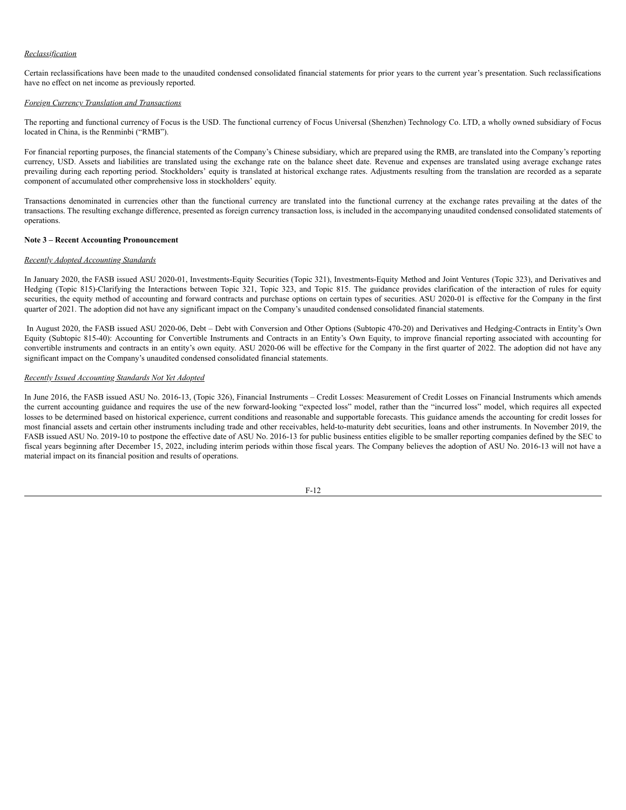# *Reclassification*

Certain reclassifications have been made to the unaudited condensed consolidated financial statements for prior years to the current year's presentation. Such reclassifications have no effect on net income as previously reported.

### *Foreign Currency Translation and Transactions*

The reporting and functional currency of Focus is the USD. The functional currency of Focus Universal (Shenzhen) Technology Co. LTD, a wholly owned subsidiary of Focus located in China, is the Renminbi ("RMB").

For financial reporting purposes, the financial statements of the Company's Chinese subsidiary, which are prepared using the RMB, are translated into the Company's reporting currency, USD. Assets and liabilities are translated using the exchange rate on the balance sheet date. Revenue and expenses are translated using average exchange rates prevailing during each reporting period. Stockholders' equity is translated at historical exchange rates. Adjustments resulting from the translation are recorded as a separate component of accumulated other comprehensive loss in stockholders' equity.

Transactions denominated in currencies other than the functional currency are translated into the functional currency at the exchange rates prevailing at the dates of the transactions. The resulting exchange difference, presented as foreign currency transaction loss, is included in the accompanying unaudited condensed consolidated statements of operations.

## **Note 3 – Recent Accounting Pronouncement**

# *Recently Adopted Accounting Standards*

In January 2020, the FASB issued ASU 2020-01, Investments-Equity Securities (Topic 321), Investments-Equity Method and Joint Ventures (Topic 323), and Derivatives and Hedging (Topic 815)-Clarifying the Interactions between Topic 321, Topic 323, and Topic 815. The guidance provides clarification of the interaction of rules for equity securities, the equity method of accounting and forward contracts and purchase options on certain types of securities. ASU 2020-01 is effective for the Company in the first quarter of 2021. The adoption did not have any significant impact on the Company's unaudited condensed consolidated financial statements.

In August 2020, the FASB issued ASU 2020-06, Debt – Debt with Conversion and Other Options (Subtopic 470-20) and Derivatives and Hedging-Contracts in Entity's Own Equity (Subtopic 815-40): Accounting for Convertible Instruments and Contracts in an Entity's Own Equity, to improve financial reporting associated with accounting for convertible instruments and contracts in an entity's own equity. ASU 2020-06 will be effective for the Company in the first quarter of 2022. The adoption did not have any significant impact on the Company's unaudited condensed consolidated financial statements.

# *Recently Issued Accounting Standards Not Yet Adopted*

In June 2016, the FASB issued ASU No. 2016-13, (Topic 326), Financial Instruments – Credit Losses: Measurement of Credit Losses on Financial Instruments which amends the current accounting guidance and requires the use of the new forward-looking "expected loss" model, rather than the "incurred loss" model, which requires all expected losses to be determined based on historical experience, current conditions and reasonable and supportable forecasts. This guidance amends the accounting for credit losses for most financial assets and certain other instruments including trade and other receivables, held-to-maturity debt securities, loans and other instruments. In November 2019, the FASB issued ASU No. 2019-10 to postpone the effective date of ASU No. 2016-13 for public business entities eligible to be smaller reporting companies defined by the SEC to fiscal years beginning after December 15, 2022, including interim periods within those fiscal years. The Company believes the adoption of ASU No. 2016-13 will not have a material impact on its financial position and results of operations.

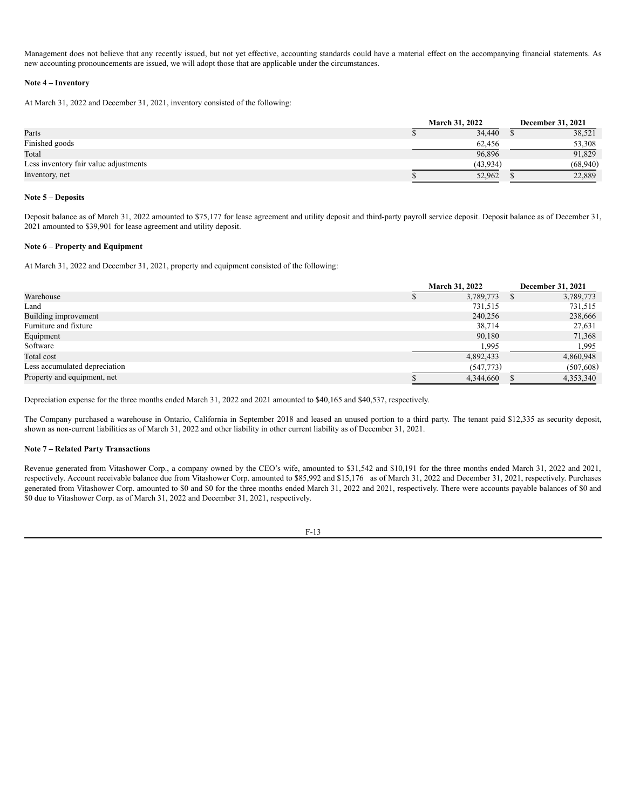Management does not believe that any recently issued, but not yet effective, accounting standards could have a material effect on the accompanying financial statements. As new accounting pronouncements are issued, we will adopt those that are applicable under the circumstances.

# **Note 4 – Inventory**

At March 31, 2022 and December 31, 2021, inventory consisted of the following:

|                                       | <b>March 31, 2022</b> | <b>December 31, 2021</b> |
|---------------------------------------|-----------------------|--------------------------|
| Parts                                 | 34,440                | 38,521                   |
| Finished goods                        | 62,456                | 53,308                   |
| Total                                 | 96,896                | 91,829                   |
| Less inventory fair value adjustments | (43, 934)             | (68,940)                 |
| Inventory, net                        | 52.962                | 22,889                   |

## **Note 5 – Deposits**

Deposit balance as of March 31, 2022 amounted to \$75,177 for lease agreement and utility deposit and third-party payroll service deposit. Deposit balance as of December 31, 2021 amounted to \$39,901 for lease agreement and utility deposit.

# **Note 6 – Property and Equipment**

At March 31, 2022 and December 31, 2021, property and equipment consisted of the following:

|                               | March 31, 2022 | December 31, 2021 |
|-------------------------------|----------------|-------------------|
| Warehouse                     | 3,789,773      | 3,789,773         |
| Land                          | 731,515        | 731,515           |
| Building improvement          | 240.256        | 238,666           |
| Furniture and fixture         | 38,714         | 27,631            |
| Equipment                     | 90,180         | 71,368            |
| Software                      | 1.995          | 1.995             |
| Total cost                    | 4,892,433      | 4,860,948         |
| Less accumulated depreciation | (547,773)      | (507,608)         |
| Property and equipment, net   | 4,344,660      | 4,353,340         |

Depreciation expense for the three months ended March 31, 2022 and 2021 amounted to \$40,165 and \$40,537, respectively.

The Company purchased a warehouse in Ontario, California in September 2018 and leased an unused portion to a third party. The tenant paid \$12,335 as security deposit, shown as non-current liabilities as of March 31, 2022 and other liability in other current liability as of December 31, 2021.

# **Note 7 – Related Party Transactions**

Revenue generated from Vitashower Corp., a company owned by the CEO's wife, amounted to \$31,542 and \$10,191 for the three months ended March 31, 2022 and 2021, respectively. Account receivable balance due from Vitashower Corp. amounted to \$85,992 and \$15,176 as of March 31, 2022 and December 31, 2021, respectively. Purchases generated from Vitashower Corp. amounted to \$0 and \$0 for the three months ended March 31, 2022 and 2021, respectively. There were accounts payable balances of \$0 and \$0 due to Vitashower Corp. as of March 31, 2022 and December 31, 2021, respectively.

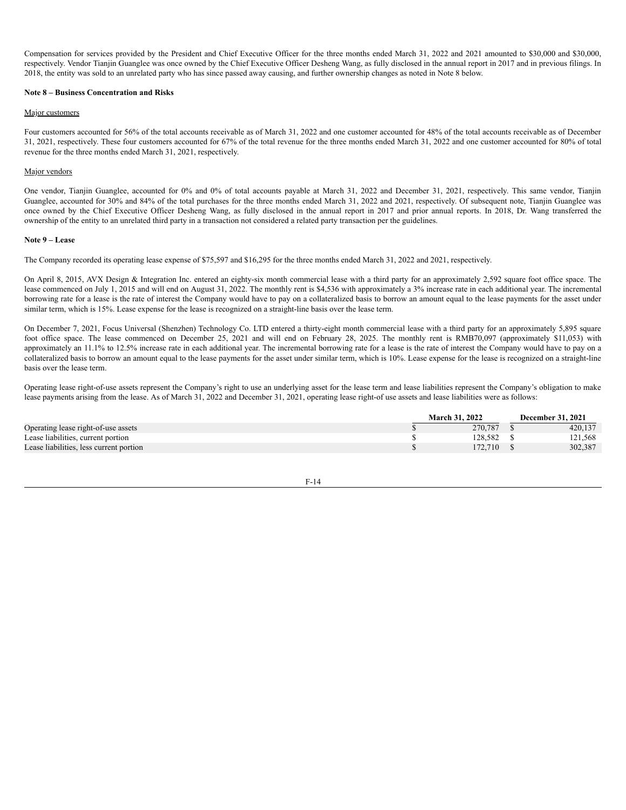Compensation for services provided by the President and Chief Executive Officer for the three months ended March 31, 2022 and 2021 amounted to \$30,000 and \$30,000, respectively. Vendor Tianjin Guanglee was once owned by the Chief Executive Officer Desheng Wang, as fully disclosed in the annual report in 2017 and in previous filings. In 2018, the entity was sold to an unrelated party who has since passed away causing, and further ownership changes as noted in Note 8 below.

#### **Note 8 – Business Concentration and Risks**

#### Major customers

Four customers accounted for 56% of the total accounts receivable as of March 31, 2022 and one customer accounted for 48% of the total accounts receivable as of December 31, 2021, respectively. These four customers accounted for 67% of the total revenue for the three months ended March 31, 2022 and one customer accounted for 80% of total revenue for the three months ended March 31, 2021, respectively.

#### Major vendors

One vendor, Tianjin Guanglee, accounted for 0% and 0% of total accounts payable at March 31, 2022 and December 31, 2021, respectively. This same vendor, Tianjin Guanglee, accounted for 30% and 84% of the total purchases for the three months ended March 31, 2022 and 2021, respectively. Of subsequent note, Tianjin Guanglee was once owned by the Chief Executive Officer Desheng Wang, as fully disclosed in the annual report in 2017 and prior annual reports. In 2018, Dr. Wang transferred the ownership of the entity to an unrelated third party in a transaction not considered a related party transaction per the guidelines.

### **Note 9 – Lease**

The Company recorded its operating lease expense of \$75,597 and \$16,295 for the three months ended March 31, 2022 and 2021, respectively.

On April 8, 2015, AVX Design & Integration Inc. entered an eighty-six month commercial lease with a third party for an approximately 2,592 square foot office space. The lease commenced on July 1, 2015 and will end on August 31, 2022. The monthly rent is \$4,536 with approximately a 3% increase rate in each additional year. The incremental borrowing rate for a lease is the rate of interest the Company would have to pay on a collateralized basis to borrow an amount equal to the lease payments for the asset under similar term, which is 15%. Lease expense for the lease is recognized on a straight-line basis over the lease term.

On December 7, 2021, Focus Universal (Shenzhen) Technology Co. LTD entered a thirty-eight month commercial lease with a third party for an approximately 5,895 square foot office space. The lease commenced on December 25, 2021 and will end on February 28, 2025. The monthly rent is RMB70,097 (approximately \$11,053) with approximately an 11.1% to 12.5% increase rate in each additional year. The incremental borrowing rate for a lease is the rate of interest the Company would have to pay on a collateralized basis to borrow an amount equal to the lease payments for the asset under similar term, which is 10%. Lease expense for the lease is recognized on a straight-line basis over the lease term.

Operating lease right-of-use assets represent the Company's right to use an underlying asset for the lease term and lease liabilities represent the Company's obligation to make lease payments arising from the lease. As of March 31, 2022 and December 31, 2021, operating lease right-of use assets and lease liabilities were as follows:

|                                         | <b>March 31, 2022</b> | <b>December 31, 2021</b> |
|-----------------------------------------|-----------------------|--------------------------|
| Operating lease right-of-use assets     | 270.787               | 420.137                  |
| Lease liabilities, current portion      | 128.582               | 121,568                  |
| Lease liabilities, less current portion | 172.710               | 302,387                  |

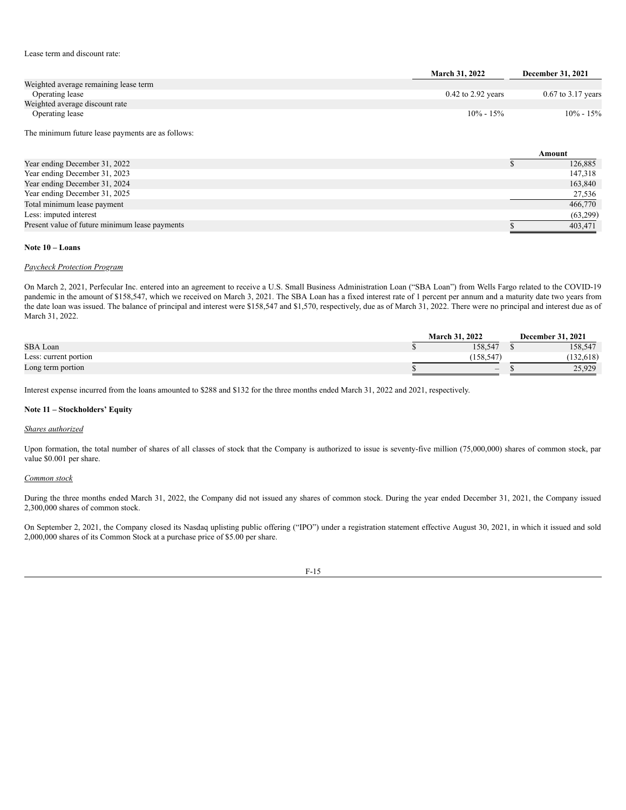Lease term and discount rate:

|                                       | <b>March 31, 2022</b> | <b>December 31, 2021</b> |
|---------------------------------------|-----------------------|--------------------------|
| Weighted average remaining lease term |                       |                          |
| Operating lease                       | $0.42$ to 2.92 years  | $0.67$ to 3.17 years     |
| Weighted average discount rate        |                       |                          |
| Operating lease                       | $10\% - 15\%$         | $10\% - 15\%$            |

The minimum future lease payments are as follows:

|                                                | Amount   |
|------------------------------------------------|----------|
| Year ending December 31, 2022                  | 126,885  |
| Year ending December 31, 2023                  | 147,318  |
| Year ending December 31, 2024                  | 163,840  |
| Year ending December 31, 2025                  | 27,536   |
| Total minimum lease payment                    | 466,770  |
| Less: imputed interest                         | (63,299) |
| Present value of future minimum lease payments | 403,471  |

# **Note 10 – Loans**

### *Paycheck Protection Program*

On March 2, 2021, Perfecular Inc. entered into an agreement to receive a U.S. Small Business Administration Loan ("SBA Loan") from Wells Fargo related to the COVID-19 pandemic in the amount of \$158,547, which we received on March 3, 2021. The SBA Loan has a fixed interest rate of 1 percent per annum and a maturity date two years from the date loan was issued. The balance of principal and interest were \$158,547 and \$1,570, respectively, due as of March 31, 2022. There were no principal and interest due as of March 31, 2022.

|                       |  | <b>March 31, 2022</b> |  | December 31, 2021 |
|-----------------------|--|-----------------------|--|-------------------|
| SBA Loan              |  | 158.547               |  | 158.547           |
| Less: current portion |  | 158,547               |  | 132,618           |
| Long term portion     |  |                       |  | 25,929            |

Interest expense incurred from the loans amounted to \$288 and \$132 for the three months ended March 31, 2022 and 2021, respectively.

# **Note 11 – Stockholders' Equity**

# *Shares authorized*

Upon formation, the total number of shares of all classes of stock that the Company is authorized to issue is seventy-five million (75,000,000) shares of common stock, par value \$0.001 per share.

# *Common stock*

During the three months ended March 31, 2022, the Company did not issued any shares of common stock. During the year ended December 31, 2021, the Company issued 2,300,000 shares of common stock.

On September 2, 2021, the Company closed its Nasdaq uplisting public offering ("IPO") under a registration statement effective August 30, 2021, in which it issued and sold 2,000,000 shares of its Common Stock at a purchase price of \$5.00 per share.

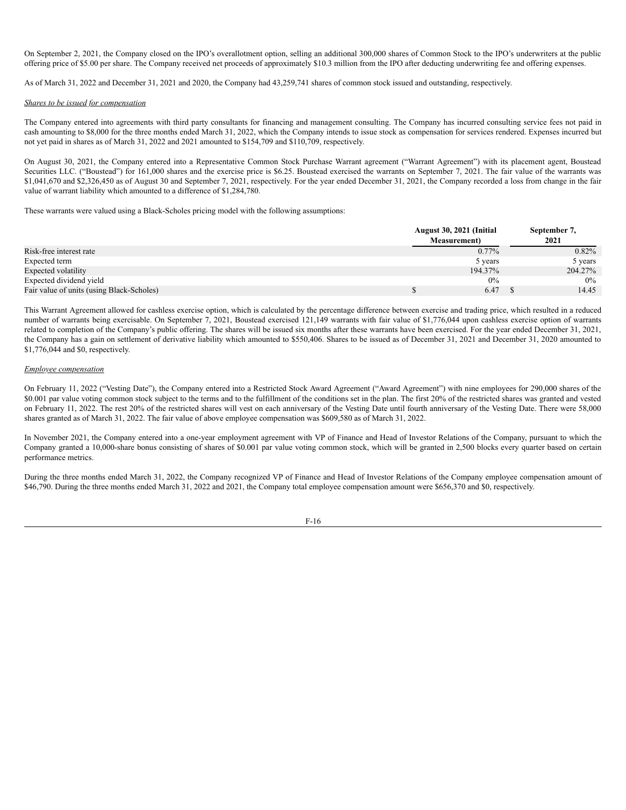On September 2, 2021, the Company closed on the IPO's overallotment option, selling an additional 300,000 shares of Common Stock to the IPO's underwriters at the public offering price of \$5.00 per share. The Company received net proceeds of approximately \$10.3 million from the IPO after deducting underwriting fee and offering expenses.

As of March 31, 2022 and December 31, 2021 and 2020, the Company had 43,259,741 shares of common stock issued and outstanding, respectively.

#### *Shares to be issued for compensation*

The Company entered into agreements with third party consultants for financing and management consulting. The Company has incurred consulting service fees not paid in cash amounting to \$8,000 for the three months ended March 31, 2022, which the Company intends to issue stock as compensation for services rendered. Expenses incurred but not yet paid in shares as of March 31, 2022 and 2021 amounted to \$154,709 and \$110,709, respectively.

On August 30, 2021, the Company entered into a Representative Common Stock Purchase Warrant agreement ("Warrant Agreement") with its placement agent, Boustead Securities LLC. ("Boustead") for 161,000 shares and the exercise price is \$6.25. Boustead exercised the warrants on September 7, 2021. The fair value of the warrants was \$1,041,670 and \$2,326,450 as of August 30 and September 7, 2021, respectively. For the year ended December 31, 2021, the Company recorded a loss from change in the fair value of warrant liability which amounted to a difference of \$1,284,780.

These warrants were valued using a Black-Scholes pricing model with the following assumptions:

|                                           | August 30, 2021 (Initial | September 7. |
|-------------------------------------------|--------------------------|--------------|
|                                           | <b>Measurement</b> )     | 2021         |
| Risk-free interest rate                   | $0.77\%$                 | 0.82%        |
| Expected term                             | 5 years                  | 5 years      |
| Expected volatility                       | 194.37%                  | 204.27%      |
| Expected dividend yield                   | 0%                       | $0\%$        |
| Fair value of units (using Black-Scholes) | 6.47                     | 14.45        |

This Warrant Agreement allowed for cashless exercise option, which is calculated by the percentage difference between exercise and trading price, which resulted in a reduced number of warrants being exercisable. On September 7, 2021, Boustead exercised 121,149 warrants with fair value of \$1,776,044 upon cashless exercise option of warrants related to completion of the Company's public offering. The shares will be issued six months after these warrants have been exercised. For the year ended December 31, 2021, the Company has a gain on settlement of derivative liability which amounted to \$550,406. Shares to be issued as of December 31, 2021 and December 31, 2020 amounted to \$1,776,044 and \$0, respectively.

# *Employee compensation*

On February 11, 2022 ("Vesting Date"), the Company entered into a Restricted Stock Award Agreement ("Award Agreement") with nine employees for 290,000 shares of the \$0.001 par value voting common stock subject to the terms and to the fulfillment of the conditions set in the plan. The first 20% of the restricted shares was granted and vested on February 11, 2022. The rest 20% of the restricted shares will vest on each anniversary of the Vesting Date until fourth anniversary of the Vesting Date. There were 58,000 shares granted as of March 31, 2022. The fair value of above employee compensation was \$609,580 as of March 31, 2022.

In November 2021, the Company entered into a one-year employment agreement with VP of Finance and Head of Investor Relations of the Company, pursuant to which the Company granted a 10,000-share bonus consisting of shares of \$0.001 par value voting common stock, which will be granted in 2,500 blocks every quarter based on certain performance metrics.

During the three months ended March 31, 2022, the Company recognized VP of Finance and Head of Investor Relations of the Company employee compensation amount of \$46,790. During the three months ended March 31, 2022 and 2021, the Company total employee compensation amount were \$656,370 and \$0, respectively.

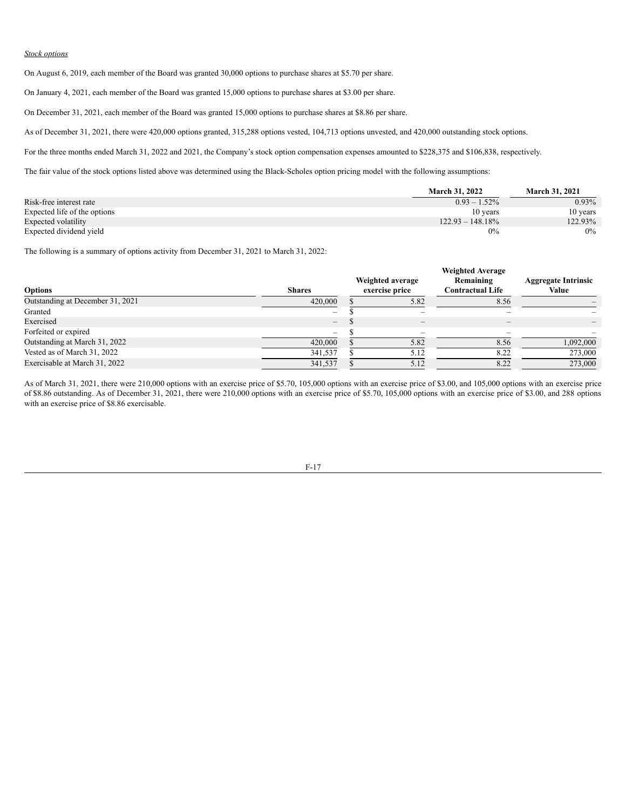## *Stock options*

On August 6, 2019, each member of the Board was granted 30,000 options to purchase shares at \$5.70 per share.

On January 4, 2021, each member of the Board was granted 15,000 options to purchase shares at \$3.00 per share.

On December 31, 2021, each member of the Board was granted 15,000 options to purchase shares at \$8.86 per share.

As of December 31, 2021, there were 420,000 options granted, 315,288 options vested, 104,713 options unvested, and 420,000 outstanding stock options.

For the three months ended March 31, 2022 and 2021, the Company's stock option compensation expenses amounted to \$228,375 and \$106,838, respectively.

The fair value of the stock options listed above was determined using the Black-Scholes option pricing model with the following assumptions:

|                              | March 31, 2022      | <b>March 31, 2021</b> |
|------------------------------|---------------------|-----------------------|
| Risk-free interest rate      | $0.93 - 1.52\%$     | 0.93%                 |
| Expected life of the options | 10 years            | 10 years              |
| Expected volatility          | $122.93 - 148.18\%$ | $122.93\%$            |
| Expected dividend vield      | 0%                  | $0\%$                 |

The following is a summary of options activity from December 31, 2021 to March 31, 2022:

| <b>Options</b>                   | <b>Shares</b>            | Weighted average<br>exercise price | <b>Weighted Average</b><br>Remaining<br><b>Contractual Life</b> | <b>Aggregate Intrinsic</b><br>Value |
|----------------------------------|--------------------------|------------------------------------|-----------------------------------------------------------------|-------------------------------------|
| Outstanding at December 31, 2021 | 420,000                  | 5.82                               | 8.56                                                            |                                     |
| Granted                          | $\overline{\phantom{m}}$ |                                    |                                                                 |                                     |
| Exercised                        | $\overline{\phantom{m}}$ |                                    |                                                                 |                                     |
| Forfeited or expired             | $\qquad \qquad -$        |                                    |                                                                 |                                     |
| Outstanding at March 31, 2022    | 420,000                  | 5.82                               | 8.56                                                            | 1,092,000                           |
| Vested as of March 31, 2022      | 341,537                  | 5.12                               | 8.22                                                            | 273,000                             |
| Exercisable at March 31, 2022    | 341,537                  | 5.12                               | 8.22                                                            | 273,000                             |

As of March 31, 2021, there were 210,000 options with an exercise price of \$5.70, 105,000 options with an exercise price of \$3.00, and 105,000 options with an exercise price of \$8.86 outstanding. As of December 31, 2021, there were 210,000 options with an exercise price of \$5.70, 105,000 options with an exercise price of \$3.00, and 288 options with an exercise price of \$8.86 exercisable.

F-17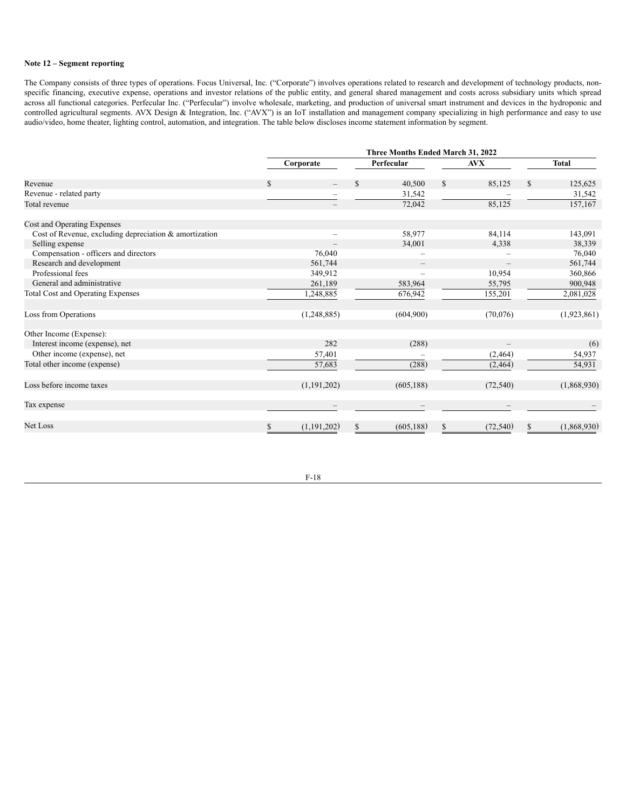# **Note 12 – Segment reporting**

The Company consists of three types of operations. Focus Universal, Inc. ("Corporate") involves operations related to research and development of technology products, nonspecific financing, executive expense, operations and investor relations of the public entity, and general shared management and costs across subsidiary units which spread across all functional categories. Perfecular Inc. ("Perfecular") involve wholesale, marketing, and production of universal smart instrument and devices in the hydroponic and controlled agricultural segments. AVX Design & Integration, Inc. ("AVX") is an IoT installation and management company specializing in high performance and easy to use audio/video, home theater, lighting control, automation, and integration. The table below discloses income statement information by segment.

|                                                        |    | Three Months Ended March 31, 2022 |     |            |              |                   |    |              |
|--------------------------------------------------------|----|-----------------------------------|-----|------------|--------------|-------------------|----|--------------|
|                                                        |    | Corporate                         |     | Perfecular |              | <b>AVX</b>        |    | <b>Total</b> |
| Revenue                                                | S. |                                   | \$. | 40,500     | $\mathbb{S}$ | 85,125            | S. | 125,625      |
| Revenue - related party                                |    |                                   |     | 31,542     |              |                   |    | 31,542       |
| Total revenue                                          |    | $\overline{\phantom{m}}$          |     | 72,042     |              | 85,125            |    | 157,167      |
| Cost and Operating Expenses                            |    |                                   |     |            |              |                   |    |              |
| Cost of Revenue, excluding depreciation & amortization |    | $\qquad \qquad -$                 |     | 58,977     |              | 84,114            |    | 143,091      |
| Selling expense                                        |    |                                   |     | 34,001     |              | 4,338             |    | 38,339       |
| Compensation - officers and directors                  |    | 76.040                            |     |            |              |                   |    | 76,040       |
| Research and development                               |    | 561,744                           |     | $\qquad -$ |              | $\qquad \qquad -$ |    | 561,744      |
| Professional fees                                      |    | 349,912                           |     |            |              | 10,954            |    | 360,866      |
| General and administrative                             |    | 261,189                           |     | 583,964    |              | 55,795            |    | 900,948      |
| Total Cost and Operating Expenses                      |    | 1,248,885                         |     | 676,942    |              | 155,201           |    | 2,081,028    |
| Loss from Operations                                   |    | (1,248,885)                       |     | (604,900)  |              | (70,076)          |    | (1,923,861)  |
| Other Income (Expense):                                |    |                                   |     |            |              |                   |    |              |
| Interest income (expense), net                         |    | 282                               |     | (288)      |              |                   |    | (6)          |
| Other income (expense), net                            |    | 57,401                            |     |            |              | (2, 464)          |    | 54,937       |
| Total other income (expense)                           |    | 57,683                            |     | (288)      |              | (2, 464)          |    | 54,931       |
| Loss before income taxes                               |    | (1,191,202)                       |     | (605, 188) |              | (72, 540)         |    | (1,868,930)  |
| Tax expense                                            |    |                                   |     |            |              |                   |    |              |
| Net Loss                                               | S. | (1,191,202)                       | S.  | (605, 188) | \$           | (72, 540)         | \$ | (1,868,930)  |

F-18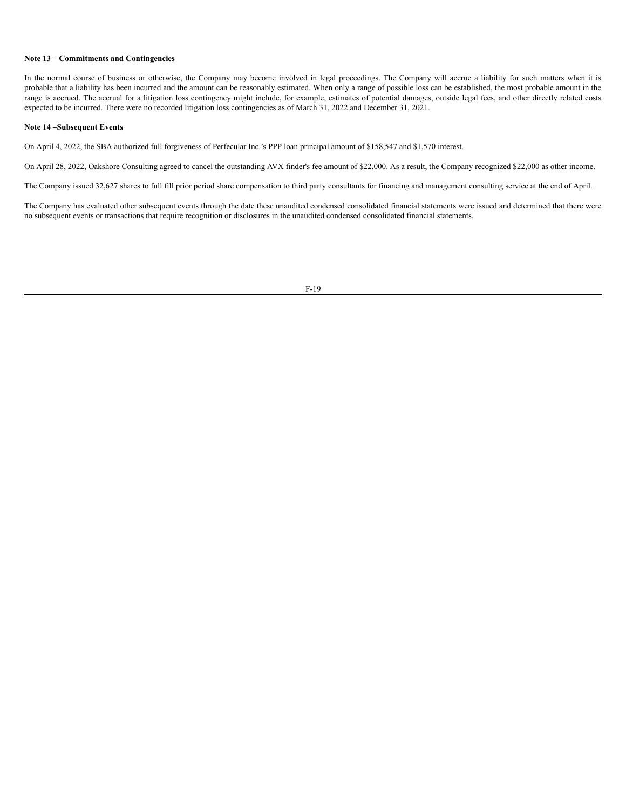#### **Note 13 – Commitments and Contingencies**

In the normal course of business or otherwise, the Company may become involved in legal proceedings. The Company will accrue a liability for such matters when it is probable that a liability has been incurred and the amount can be reasonably estimated. When only a range of possible loss can be established, the most probable amount in the range is accrued. The accrual for a litigation loss contingency might include, for example, estimates of potential damages, outside legal fees, and other directly related costs expected to be incurred. There were no recorded litigation loss contingencies as of March 31, 2022 and December 31, 2021.

#### **Note 14 –Subsequent Events**

On April 4, 2022, the SBA authorized full forgiveness of Perfecular Inc.'s PPP loan principal amount of \$158,547 and \$1,570 interest.

On April 28, 2022, Oakshore Consulting agreed to cancel the outstanding AVX finder's fee amount of \$22,000. As a result, the Company recognized \$22,000 as other income.

The Company issued 32,627 shares to full fill prior period share compensation to third party consultants for financing and management consulting service at the end of April.

The Company has evaluated other subsequent events through the date these unaudited condensed consolidated financial statements were issued and determined that there were no subsequent events or transactions that require recognition or disclosures in the unaudited condensed consolidated financial statements.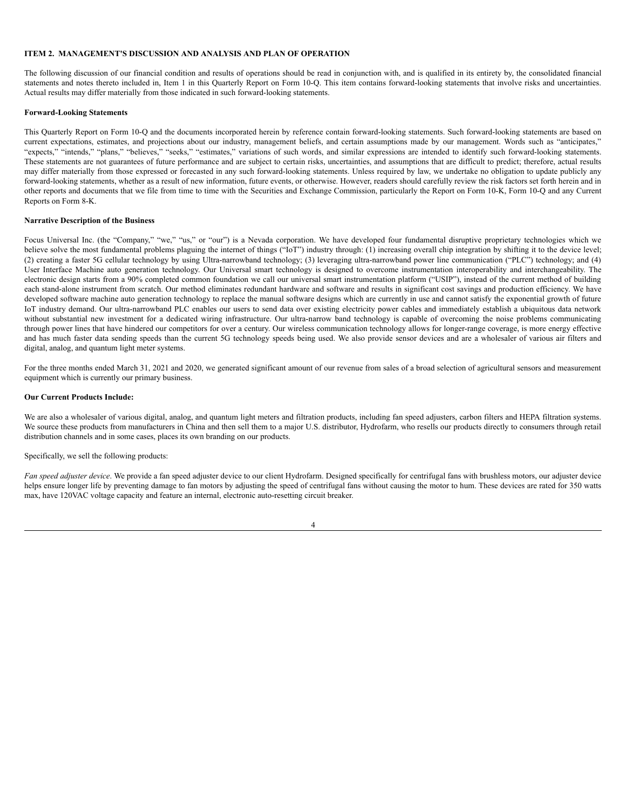#### <span id="page-22-0"></span>**ITEM 2. MANAGEMENT'S DISCUSSION AND ANALYSIS AND PLAN OF OPERATION**

The following discussion of our financial condition and results of operations should be read in conjunction with, and is qualified in its entirety by, the consolidated financial statements and notes thereto included in, Item 1 in this Quarterly Report on Form 10-Q. This item contains forward-looking statements that involve risks and uncertainties. Actual results may differ materially from those indicated in such forward-looking statements.

#### **Forward-Looking Statements**

This Quarterly Report on Form 10-Q and the documents incorporated herein by reference contain forward-looking statements. Such forward-looking statements are based on current expectations, estimates, and projections about our industry, management beliefs, and certain assumptions made by our management. Words such as "anticipates," "expects," "intends," "plans," "believes," "seeks," "estimates," variations of such words, and similar expressions are intended to identify such forward-looking statements. These statements are not guarantees of future performance and are subject to certain risks, uncertainties, and assumptions that are difficult to predict; therefore, actual results may differ materially from those expressed or forecasted in any such forward-looking statements. Unless required by law, we undertake no obligation to update publicly any forward-looking statements, whether as a result of new information, future events, or otherwise. However, readers should carefully review the risk factors set forth herein and in other reports and documents that we file from time to time with the Securities and Exchange Commission, particularly the Report on Form 10-K, Form 10-Q and any Current Reports on Form 8-K.

#### **Narrative Description of the Business**

Focus Universal Inc. (the "Company," "we," "us," or "our") is a Nevada corporation. We have developed four fundamental disruptive proprietary technologies which we believe solve the most fundamental problems plaguing the internet of things ("IoT") industry through: (1) increasing overall chip integration by shifting it to the device level; (2) creating a faster 5G cellular technology by using Ultra-narrowband technology; (3) leveraging ultra-narrowband power line communication ("PLC") technology; and (4) User Interface Machine auto generation technology. Our Universal smart technology is designed to overcome instrumentation interoperability and interchangeability. The electronic design starts from a 90% completed common foundation we call our universal smart instrumentation platform ("USIP"), instead of the current method of building each stand-alone instrument from scratch. Our method eliminates redundant hardware and software and results in significant cost savings and production efficiency. We have developed software machine auto generation technology to replace the manual software designs which are currently in use and cannot satisfy the exponential growth of future IoT industry demand. Our ultra-narrowband PLC enables our users to send data over existing electricity power cables and immediately establish a ubiquitous data network without substantial new investment for a dedicated wiring infrastructure. Our ultra-narrow band technology is capable of overcoming the noise problems communicating through power lines that have hindered our competitors for over a century. Our wireless communication technology allows for longer-range coverage, is more energy effective and has much faster data sending speeds than the current 5G technology speeds being used. We also provide sensor devices and are a wholesaler of various air filters and digital, analog, and quantum light meter systems.

For the three months ended March 31, 2021 and 2020, we generated significant amount of our revenue from sales of a broad selection of agricultural sensors and measurement equipment which is currently our primary business.

## **Our Current Products Include:**

We are also a wholesaler of various digital, analog, and quantum light meters and filtration products, including fan speed adjusters, carbon filters and HEPA filtration systems. We source these products from manufacturers in China and then sell them to a major U.S. distributor, Hydrofarm, who resells our products directly to consumers through retail distribution channels and in some cases, places its own branding on our products.

Specifically, we sell the following products:

*Fan speed adjuster device*. We provide a fan speed adjuster device to our client Hydrofarm. Designed specifically for centrifugal fans with brushless motors, our adjuster device helps ensure longer life by preventing damage to fan motors by adjusting the speed of centrifugal fans without causing the motor to hum. These devices are rated for 350 watts max, have 120VAC voltage capacity and feature an internal, electronic auto-resetting circuit breaker.

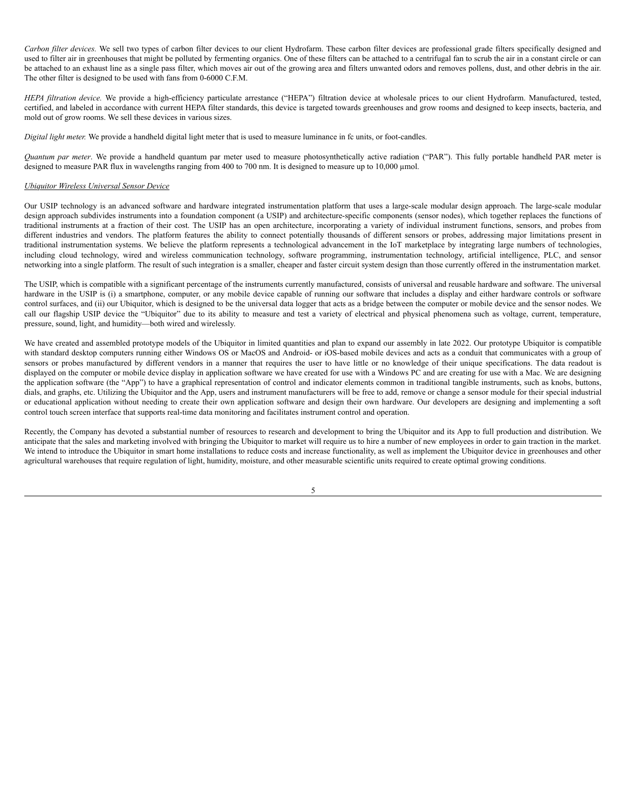*Carbon filter devices.* We sell two types of carbon filter devices to our client Hydrofarm. These carbon filter devices are professional grade filters specifically designed and used to filter air in greenhouses that might be polluted by fermenting organics. One of these filters can be attached to a centrifugal fan to scrub the air in a constant circle or can be attached to an exhaust line as a single pass filter, which moves air out of the growing area and filters unwanted odors and removes pollens, dust, and other debris in the air. The other filter is designed to be used with fans from 0-6000 C.F.M.

*HEPA filtration device.* We provide a high-efficiency particulate arrestance ("HEPA") filtration device at wholesale prices to our client Hydrofarm. Manufactured, tested, certified, and labeled in accordance with current HEPA filter standards, this device is targeted towards greenhouses and grow rooms and designed to keep insects, bacteria, and mold out of grow rooms. We sell these devices in various sizes.

*Digital light meter.* We provide a handheld digital light meter that is used to measure luminance in fc units, or foot-candles.

*Quantum par meter*. We provide a handheld quantum par meter used to measure photosynthetically active radiation ("PAR"). This fully portable handheld PAR meter is designed to measure PAR flux in wavelengths ranging from 400 to 700 nm. It is designed to measure up to 10,000 µmol.

## *Ubiquitor Wireless Universal Sensor Device*

Our USIP technology is an advanced software and hardware integrated instrumentation platform that uses a large-scale modular design approach. The large-scale modular design approach subdivides instruments into a foundation component (a USIP) and architecture-specific components (sensor nodes), which together replaces the functions of traditional instruments at a fraction of their cost. The USIP has an open architecture, incorporating a variety of individual instrument functions, sensors, and probes from different industries and vendors. The platform features the ability to connect potentially thousands of different sensors or probes, addressing major limitations present in traditional instrumentation systems. We believe the platform represents a technological advancement in the IoT marketplace by integrating large numbers of technologies, including cloud technology, wired and wireless communication technology, software programming, instrumentation technology, artificial intelligence, PLC, and sensor networking into a single platform. The result of such integration is a smaller, cheaper and faster circuit system design than those currently offered in the instrumentation market.

The USIP, which is compatible with a significant percentage of the instruments currently manufactured, consists of universal and reusable hardware and software. The universal hardware in the USIP is (i) a smartphone, computer, or any mobile device capable of running our software that includes a display and either hardware controls or software control surfaces, and (ii) our Ubiquitor, which is designed to be the universal data logger that acts as a bridge between the computer or mobile device and the sensor nodes. We call our flagship USIP device the "Ubiquitor" due to its ability to measure and test a variety of electrical and physical phenomena such as voltage, current, temperature, pressure, sound, light, and humidity—both wired and wirelessly.

We have created and assembled prototype models of the Ubiquitor in limited quantities and plan to expand our assembly in late 2022. Our prototype Ubiquitor is compatible with standard desktop computers running either Windows OS or MacOS and Android- or iOS-based mobile devices and acts as a conduit that communicates with a group of sensors or probes manufactured by different vendors in a manner that requires the user to have little or no knowledge of their unique specifications. The data readout is displayed on the computer or mobile device display in application software we have created for use with a Windows PC and are creating for use with a Mac. We are designing the application software (the "App") to have a graphical representation of control and indicator elements common in traditional tangible instruments, such as knobs, buttons, dials, and graphs, etc. Utilizing the Ubiquitor and the App, users and instrument manufacturers will be free to add, remove or change a sensor module for their special industrial or educational application without needing to create their own application software and design their own hardware. Our developers are designing and implementing a soft control touch screen interface that supports real-time data monitoring and facilitates instrument control and operation.

Recently, the Company has devoted a substantial number of resources to research and development to bring the Ubiquitor and its App to full production and distribution. We anticipate that the sales and marketing involved with bringing the Ubiquitor to market will require us to hire a number of new employees in order to gain traction in the market. We intend to introduce the Ubiquitor in smart home installations to reduce costs and increase functionality, as well as implement the Ubiquitor device in greenhouses and other agricultural warehouses that require regulation of light, humidity, moisture, and other measurable scientific units required to create optimal growing conditions.

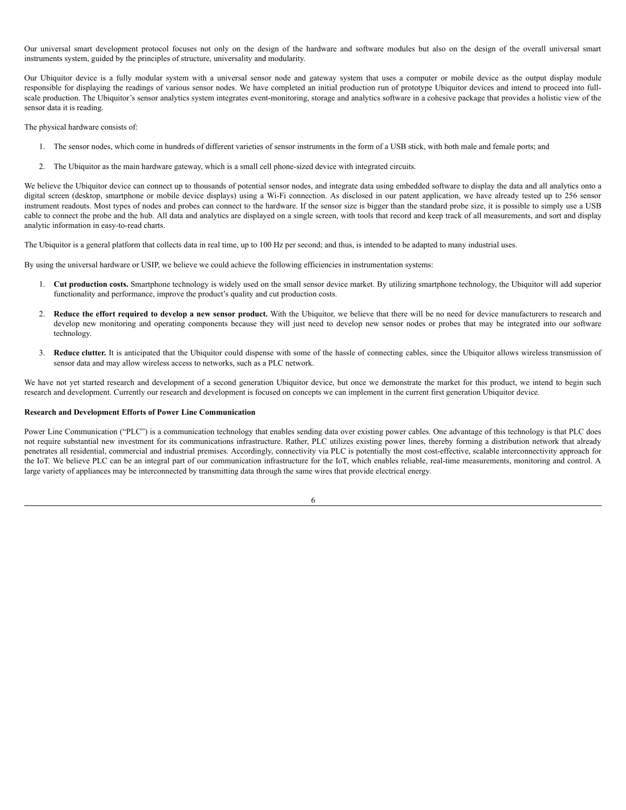Our universal smart development protocol focuses not only on the design of the hardware and software modules but also on the design of the overall universal smart instruments system, guided by the principles of structure, universality and modularity.

Our Ubiquitor device is a fully modular system with a universal sensor node and gateway system that uses a computer or mobile device as the output display module responsible for displaying the readings of various sensor nodes. We have completed an initial production run of prototype Ubiquitor devices and intend to proceed into fullscale production. The Ubiquitor's sensor analytics system integrates event-monitoring, storage and analytics software in a cohesive package that provides a holistic view of the sensor data it is reading.

The physical hardware consists of:

- 1. The sensor nodes, which come in hundreds of different varieties of sensor instruments in the form of a USB stick, with both male and female ports; and
- 2. The Ubiquitor as the main hardware gateway, which is a small cell phone-sized device with integrated circuits.

We believe the Ubiquitor device can connect up to thousands of potential sensor nodes, and integrate data using embedded software to display the data and all analytics onto a digital screen (desktop, smartphone or mobile device displays) using a Wi-Fi connection. As disclosed in our patent application, we have already tested up to 256 sensor instrument readouts. Most types of nodes and probes can connect to the hardware. If the sensor size is bigger than the standard probe size, it is possible to simply use a USB cable to connect the probe and the hub. All data and analytics are displayed on a single screen, with tools that record and keep track of all measurements, and sort and display analytic information in easy-to-read charts.

The Ubiquitor is a general platform that collects data in real time, up to 100 Hz per second; and thus, is intended to be adapted to many industrial uses.

By using the universal hardware or USIP, we believe we could achieve the following efficiencies in instrumentation systems:

- 1. **Cut production costs.** Smartphone technology is widely used on the small sensor device market. By utilizing smartphone technology, the Ubiquitor will add superior functionality and performance, improve the product's quality and cut production costs.
- 2. Reduce the effort required to develop a new sensor product. With the Ubiquitor, we believe that there will be no need for device manufacturers to research and develop new monitoring and operating components because they will just need to develop new sensor nodes or probes that may be integrated into our software technology.
- 3. **Reduce clutter.** It is anticipated that the Ubiquitor could dispense with some of the hassle of connecting cables, since the Ubiquitor allows wireless transmission of sensor data and may allow wireless access to networks, such as a PLC network.

We have not yet started research and development of a second generation Ubiquitor device, but once we demonstrate the market for this product, we intend to begin such research and development. Currently our research and development is focused on concepts we can implement in the current first generation Ubiquitor device.

### **Research and Development Efforts of Power Line Communication**

Power Line Communication ("PLC") is a communication technology that enables sending data over existing power cables. One advantage of this technology is that PLC does not require substantial new investment for its communications infrastructure. Rather, PLC utilizes existing power lines, thereby forming a distribution network that already penetrates all residential, commercial and industrial premises. Accordingly, connectivity via PLC is potentially the most cost-effective, scalable interconnectivity approach for the IoT. We believe PLC can be an integral part of our communication infrastructure for the IoT, which enables reliable, real-time measurements, monitoring and control. A large variety of appliances may be interconnected by transmitting data through the same wires that provide electrical energy.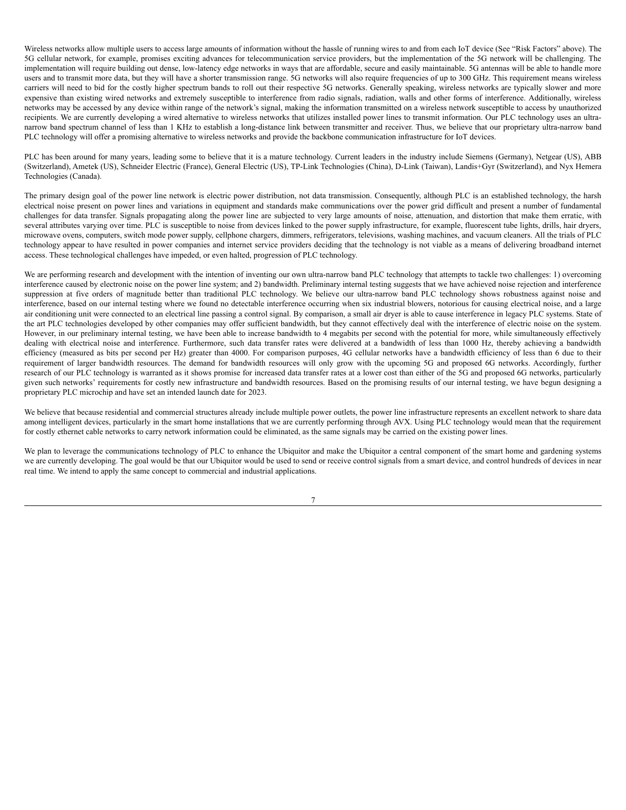Wireless networks allow multiple users to access large amounts of information without the hassle of running wires to and from each IoT device (See "Risk Factors" above). The 5G cellular network, for example, promises exciting advances for telecommunication service providers, but the implementation of the 5G network will be challenging. The implementation will require building out dense, low-latency edge networks in ways that are affordable, secure and easily maintainable. 5G antennas will be able to handle more users and to transmit more data, but they will have a shorter transmission range. 5G networks will also require frequencies of up to 300 GHz. This requirement means wireless carriers will need to bid for the costly higher spectrum bands to roll out their respective 5G networks. Generally speaking, wireless networks are typically slower and more expensive than existing wired networks and extremely susceptible to interference from radio signals, radiation, walls and other forms of interference. Additionally, wireless networks may be accessed by any device within range of the network's signal, making the information transmitted on a wireless network susceptible to access by unauthorized recipients. We are currently developing a wired alternative to wireless networks that utilizes installed power lines to transmit information. Our PLC technology uses an ultranarrow band spectrum channel of less than 1 KHz to establish a long-distance link between transmitter and receiver. Thus, we believe that our proprietary ultra-narrow band PLC technology will offer a promising alternative to wireless networks and provide the backbone communication infrastructure for IoT devices.

PLC has been around for many years, leading some to believe that it is a mature technology. Current leaders in the industry include Siemens (Germany), Netgear (US), ABB (Switzerland), Ametek (US), Schneider Electric (France), General Electric (US), TP-Link Technologies (China), D-Link (Taiwan), Landis+Gyr (Switzerland), and Nyx Hemera Technologies (Canada).

The primary design goal of the power line network is electric power distribution, not data transmission. Consequently, although PLC is an established technology, the harsh electrical noise present on power lines and variations in equipment and standards make communications over the power grid difficult and present a number of fundamental challenges for data transfer. Signals propagating along the power line are subjected to very large amounts of noise, attenuation, and distortion that make them erratic, with several attributes varying over time. PLC is susceptible to noise from devices linked to the power supply infrastructure, for example, fluorescent tube lights, drills, hair dryers, microwave ovens, computers, switch mode power supply, cellphone chargers, dimmers, refrigerators, televisions, washing machines, and vacuum cleaners. All the trials of PLC technology appear to have resulted in power companies and internet service providers deciding that the technology is not viable as a means of delivering broadband internet access. These technological challenges have impeded, or even halted, progression of PLC technology.

We are performing research and development with the intention of inventing our own ultra-narrow band PLC technology that attempts to tackle two challenges: 1) overcoming interference caused by electronic noise on the power line system; and 2) bandwidth. Preliminary internal testing suggests that we have achieved noise rejection and interference suppression at five orders of magnitude better than traditional PLC technology. We believe our ultra-narrow band PLC technology shows robustness against noise and interference, based on our internal testing where we found no detectable interference occurring when six industrial blowers, notorious for causing electrical noise, and a large air conditioning unit were connected to an electrical line passing a control signal. By comparison, a small air dryer is able to cause interference in legacy PLC systems. State of the art PLC technologies developed by other companies may offer sufficient bandwidth, but they cannot effectively deal with the interference of electric noise on the system. However, in our preliminary internal testing, we have been able to increase bandwidth to 4 megabits per second with the potential for more, while simultaneously effectively dealing with electrical noise and interference. Furthermore, such data transfer rates were delivered at a bandwidth of less than 1000 Hz, thereby achieving a bandwidth efficiency (measured as bits per second per Hz) greater than 4000. For comparison purposes, 4G cellular networks have a bandwidth efficiency of less than 6 due to their requirement of larger bandwidth resources. The demand for bandwidth resources will only grow with the upcoming 5G and proposed 6G networks. Accordingly, further research of our PLC technology is warranted as it shows promise for increased data transfer rates at a lower cost than either of the 5G and proposed 6G networks, particularly given such networks' requirements for costly new infrastructure and bandwidth resources. Based on the promising results of our internal testing, we have begun designing a proprietary PLC microchip and have set an intended launch date for 2023.

We believe that because residential and commercial structures already include multiple power outlets, the power line infrastructure represents an excellent network to share data among intelligent devices, particularly in the smart home installations that we are currently performing through AVX. Using PLC technology would mean that the requirement for costly ethernet cable networks to carry network information could be eliminated, as the same signals may be carried on the existing power lines.

We plan to leverage the communications technology of PLC to enhance the Ubiquitor and make the Ubiquitor a central component of the smart home and gardening systems we are currently developing. The goal would be that our Ubiquitor would be used to send or receive control signals from a smart device, and control hundreds of devices in near real time. We intend to apply the same concept to commercial and industrial applications.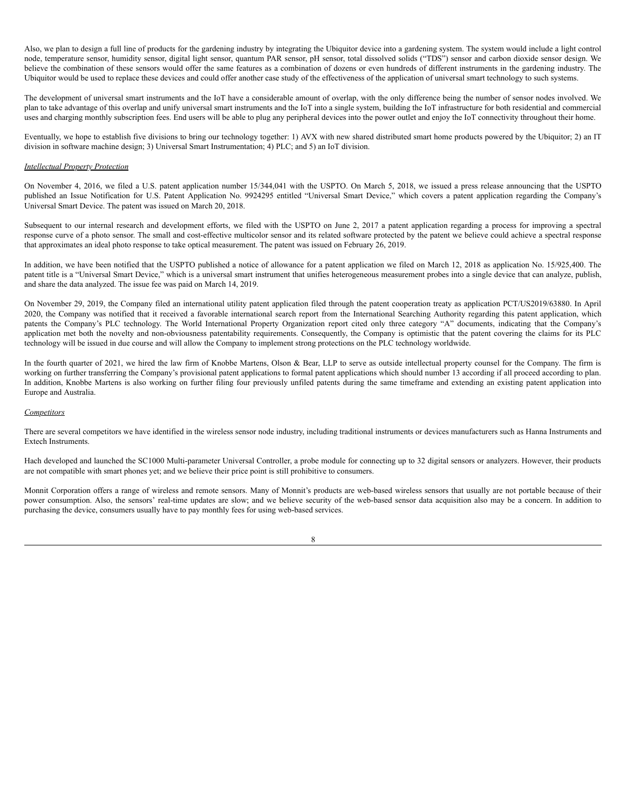Also, we plan to design a full line of products for the gardening industry by integrating the Ubiquitor device into a gardening system. The system would include a light control node, temperature sensor, humidity sensor, digital light sensor, quantum PAR sensor, pH sensor, total dissolved solids ("TDS") sensor and carbon dioxide sensor design. We believe the combination of these sensors would offer the same features as a combination of dozens or even hundreds of different instruments in the gardening industry. The Ubiquitor would be used to replace these devices and could offer another case study of the effectiveness of the application of universal smart technology to such systems.

The development of universal smart instruments and the IoT have a considerable amount of overlap, with the only difference being the number of sensor nodes involved. We plan to take advantage of this overlap and unify universal smart instruments and the IoT into a single system, building the IoT infrastructure for both residential and commercial uses and charging monthly subscription fees. End users will be able to plug any peripheral devices into the power outlet and enjoy the IoT connectivity throughout their home.

Eventually, we hope to establish five divisions to bring our technology together: 1) AVX with new shared distributed smart home products powered by the Ubiquitor; 2) an IT division in software machine design; 3) Universal Smart Instrumentation; 4) PLC; and 5) an IoT division.

# *Intellectual Property Protection*

On November 4, 2016, we filed a U.S. patent application number 15/344,041 with the USPTO. On March 5, 2018, we issued a press release announcing that the USPTO published an Issue Notification for U.S. Patent Application No. 9924295 entitled "Universal Smart Device," which covers a patent application regarding the Company's Universal Smart Device. The patent was issued on March 20, 2018.

Subsequent to our internal research and development efforts, we filed with the USPTO on June 2, 2017 a patent application regarding a process for improving a spectral response curve of a photo sensor. The small and cost-effective multicolor sensor and its related software protected by the patent we believe could achieve a spectral response that approximates an ideal photo response to take optical measurement. The patent was issued on February 26, 2019.

In addition, we have been notified that the USPTO published a notice of allowance for a patent application we filed on March 12, 2018 as application No. 15/925,400. The patent title is a "Universal Smart Device," which is a universal smart instrument that unifies heterogeneous measurement probes into a single device that can analyze, publish, and share the data analyzed. The issue fee was paid on March 14, 2019.

On November 29, 2019, the Company filed an international utility patent application filed through the patent cooperation treaty as application PCT/US2019/63880. In April 2020, the Company was notified that it received a favorable international search report from the International Searching Authority regarding this patent application, which patents the Company's PLC technology. The World International Property Organization report cited only three category "A" documents, indicating that the Company's application met both the novelty and non-obviousness patentability requirements. Consequently, the Company is optimistic that the patent covering the claims for its PLC technology will be issued in due course and will allow the Company to implement strong protections on the PLC technology worldwide.

In the fourth quarter of 2021, we hired the law firm of Knobbe Martens, Olson & Bear, LLP to serve as outside intellectual property counsel for the Company. The firm is working on further transferring the Company's provisional patent applications to formal patent applications which should number 13 according if all proceed according to plan. In addition, Knobbe Martens is also working on further filing four previously unfiled patents during the same timeframe and extending an existing patent application into Europe and Australia.

#### *Competitors*

There are several competitors we have identified in the wireless sensor node industry, including traditional instruments or devices manufacturers such as Hanna Instruments and Extech Instruments.

Hach developed and launched the SC1000 Multi-parameter Universal Controller, a probe module for connecting up to 32 digital sensors or analyzers. However, their products are not compatible with smart phones yet; and we believe their price point is still prohibitive to consumers.

Monnit Corporation offers a range of wireless and remote sensors. Many of Monnit's products are web-based wireless sensors that usually are not portable because of their power consumption. Also, the sensors' real-time updates are slow; and we believe security of the web-based sensor data acquisition also may be a concern. In addition to purchasing the device, consumers usually have to pay monthly fees for using web-based services.

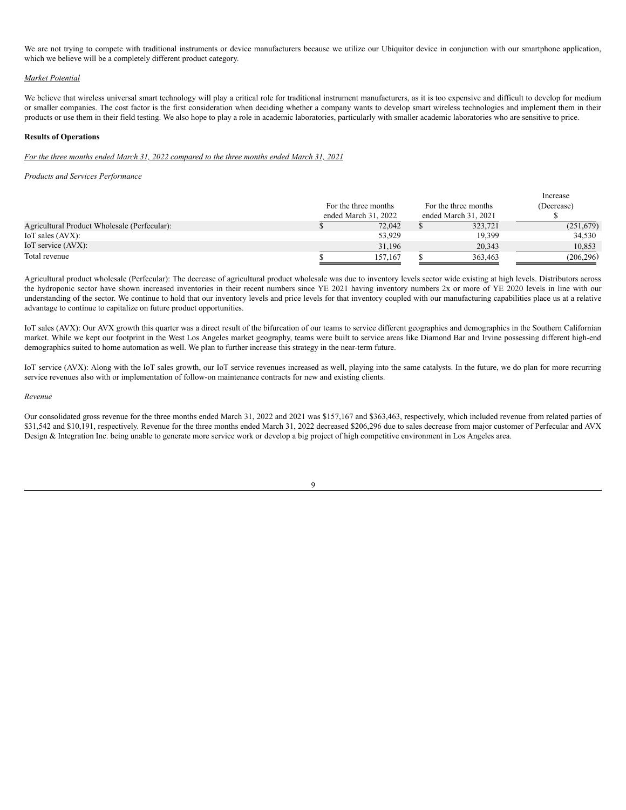We are not trying to compete with traditional instruments or device manufacturers because we utilize our Ubiquitor device in conjunction with our smartphone application, which we believe will be a completely different product category.

## *Market Potential*

We believe that wireless universal smart technology will play a critical role for traditional instrument manufacturers, as it is too expensive and difficult to develop for medium or smaller companies. The cost factor is the first consideration when deciding whether a company wants to develop smart wireless technologies and implement them in their products or use them in their field testing. We also hope to play a role in academic laboratories, particularly with smaller academic laboratories who are sensitive to price.

#### **Results of Operations**

### *For the three months ended March 31, 2022 compared to the three months ended March 31, 2021*

*Products and Services Performance*

|                                              | For the three months<br>ended March 31, 2022 | For the three months<br>ended March 31, 2021 | Increase<br>(Decrease) |
|----------------------------------------------|----------------------------------------------|----------------------------------------------|------------------------|
| Agricultural Product Wholesale (Perfecular): | 72,042                                       | 323,721                                      | (251,679)              |
| IoT sales $(AVX)$ :                          | 53,929                                       | 19.399                                       | 34,530                 |
| IoT service (AVX):                           | 31,196                                       | 20,343                                       | 10.853                 |
| Total revenue                                | 157.167                                      | 363.463                                      | (206, 296)             |

Agricultural product wholesale (Perfecular): The decrease of agricultural product wholesale was due to inventory levels sector wide existing at high levels. Distributors across the hydroponic sector have shown increased inventories in their recent numbers since YE 2021 having inventory numbers 2x or more of YE 2020 levels in line with our understanding of the sector. We continue to hold that our inventory levels and price levels for that inventory coupled with our manufacturing capabilities place us at a relative advantage to continue to capitalize on future product opportunities.

IoT sales (AVX): Our AVX growth this quarter was a direct result of the bifurcation of our teams to service different geographies and demographics in the Southern Californian market. While we kept our footprint in the West Los Angeles market geography, teams were built to service areas like Diamond Bar and Irvine possessing different high-end demographics suited to home automation as well. We plan to further increase this strategy in the near-term future.

IoT service (AVX): Along with the IoT sales growth, our IoT service revenues increased as well, playing into the same catalysts. In the future, we do plan for more recurring service revenues also with or implementation of follow-on maintenance contracts for new and existing clients.

#### *Revenue*

Our consolidated gross revenue for the three months ended March 31, 2022 and 2021 was \$157,167 and \$363,463, respectively, which included revenue from related parties of \$31,542 and \$10,191, respectively. Revenue for the three months ended March 31, 2022 decreased \$206,296 due to sales decrease from major customer of Perfecular and AVX Design & Integration Inc. being unable to generate more service work or develop a big project of high competitive environment in Los Angeles area.

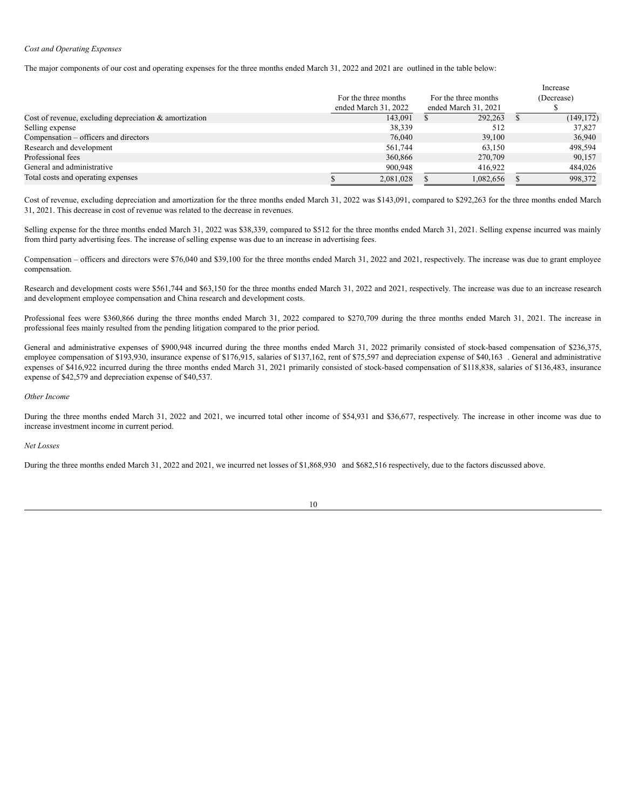# *Cost and Operating Expenses*

The major components of our cost and operating expenses for the three months ended March 31, 2022 and 2021 are outlined in the table below:

|                                                           |                      |                      | Increase   |
|-----------------------------------------------------------|----------------------|----------------------|------------|
|                                                           | For the three months | For the three months | (Decrease) |
|                                                           | ended March 31, 2022 | ended March 31, 2021 |            |
| Cost of revenue, excluding depreciation $\&$ amortization | 143.091              | 292,263              | (149, 172) |
| Selling expense                                           | 38,339               | 512                  | 37.827     |
| Compensation – officers and directors                     | 76,040               | 39,100               | 36,940     |
| Research and development                                  | 561,744              | 63,150               | 498,594    |
| Professional fees                                         | 360,866              | 270,709              | 90,157     |
| General and administrative                                | 900.948              | 416.922              | 484,026    |
| Total costs and operating expenses                        | 2,081,028            | 1,082,656            | 998,372    |

Cost of revenue, excluding depreciation and amortization for the three months ended March 31, 2022 was \$143,091, compared to \$292,263 for the three months ended March 31, 2021. This decrease in cost of revenue was related to the decrease in revenues.

Selling expense for the three months ended March 31, 2022 was \$38,339, compared to \$512 for the three months ended March 31, 2021. Selling expense incurred was mainly from third party advertising fees. The increase of selling expense was due to an increase in advertising fees.

Compensation – officers and directors were \$76,040 and \$39,100 for the three months ended March 31, 2022 and 2021, respectively. The increase was due to grant employee compensation.

Research and development costs were \$561,744 and \$63,150 for the three months ended March 31, 2022 and 2021, respectively. The increase was due to an increase research and development employee compensation and China research and development costs.

Professional fees were \$360,866 during the three months ended March 31, 2022 compared to \$270,709 during the three months ended March 31, 2021. The increase in professional fees mainly resulted from the pending litigation compared to the prior period.

General and administrative expenses of \$900,948 incurred during the three months ended March 31, 2022 primarily consisted of stock-based compensation of \$236,375, employee compensation of \$193,930, insurance expense of \$176,915, salaries of \$137,162, rent of \$75,597 and depreciation expense of \$40,163. General and administrative expenses of \$416,922 incurred during the three months ended March 31, 2021 primarily consisted of stock-based compensation of \$118,838, salaries of \$136,483, insurance expense of \$42,579 and depreciation expense of \$40,537.

## *Other Income*

During the three months ended March 31, 2022 and 2021, we incurred total other income of \$54,931 and \$36,677, respectively. The increase in other income was due to increase investment income in current period.

# *Net Losses*

During the three months ended March 31, 2022 and 2021, we incurred net losses of \$1,868,930 and \$682,516 respectively, due to the factors discussed above.

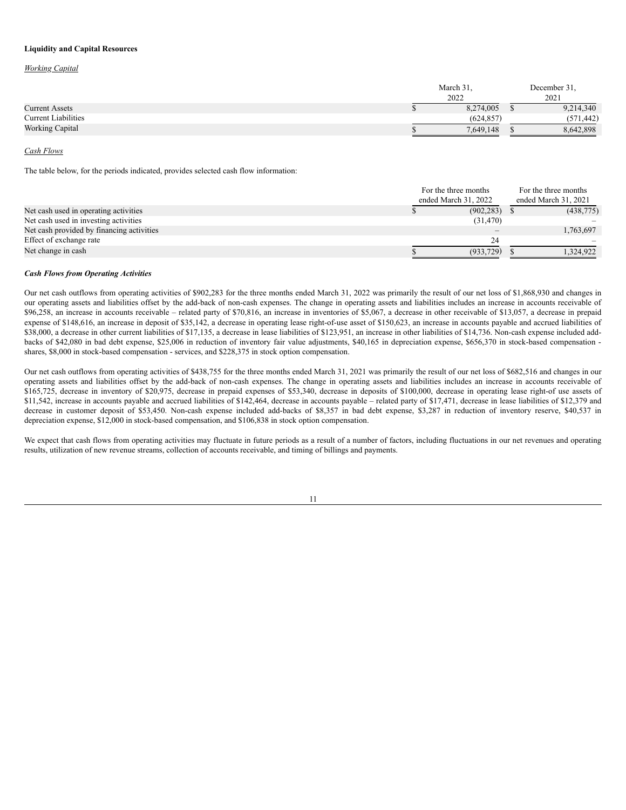# **Liquidity and Capital Resources**

*Working Capital*

| 2022                                     | 2021       |
|------------------------------------------|------------|
| 8,274,005<br><b>Current Assets</b>       | 9,214,340  |
| <b>Current Liabilities</b><br>(624, 857) | (571, 442) |
| Working Capital<br>7,649,148             | 8,642,898  |

*Cash Flows*

The table below, for the periods indicated, provides selected cash flow information:

|                                           | For the three months | For the three months |
|-------------------------------------------|----------------------|----------------------|
|                                           | ended March 31, 2022 | ended March 31, 2021 |
| Net cash used in operating activities     | (902, 283)           | (438, 775)           |
| Net cash used in investing activities     | (31, 470)            |                      |
| Net cash provided by financing activities |                      | 1,763,697            |
| Effect of exchange rate                   | 24                   |                      |
| Net change in cash                        | (933.729)            | 1.324.922            |

#### *Cash Flows from Operating Activities*

Our net cash outflows from operating activities of \$902,283 for the three months ended March 31, 2022 was primarily the result of our net loss of \$1,868,930 and changes in our operating assets and liabilities offset by the add-back of non-cash expenses. The change in operating assets and liabilities includes an increase in accounts receivable of \$96,258, an increase in accounts receivable – related party of \$70,816, an increase in inventories of \$5,067, a decrease in other receivable of \$13,057, a decrease in prepaid expense of \$148,616, an increase in deposit of \$35,142, a decrease in operating lease right-of-use asset of \$150,623, an increase in accounts payable and accrued liabilities of \$38,000, a decrease in other current liabilities of \$17,135, a decrease in lease liabilities of \$123,951, an increase in other liabilities of \$14,736. Non-cash expense included addbacks of \$42,080 in bad debt expense, \$25,006 in reduction of inventory fair value adjustments, \$40,165 in depreciation expense, \$656,370 in stock-based compensation shares, \$8,000 in stock-based compensation - services, and \$228,375 in stock option compensation.

Our net cash outflows from operating activities of \$438,755 for the three months ended March 31, 2021 was primarily the result of our net loss of \$682,516 and changes in our operating assets and liabilities offset by the add-back of non-cash expenses. The change in operating assets and liabilities includes an increase in accounts receivable of \$165,725, decrease in inventory of \$20,975, decrease in prepaid expenses of \$53,340, decrease in deposits of \$100,000, decrease in operating lease right-of use assets of \$11,542, increase in accounts payable and accrued liabilities of \$142,464, decrease in accounts payable – related party of \$17,471, decrease in lease liabilities of \$12,379 and decrease in customer deposit of \$53,450. Non-cash expense included add-backs of \$8,357 in bad debt expense, \$3,287 in reduction of inventory reserve, \$40,537 in depreciation expense, \$12,000 in stock-based compensation, and \$106,838 in stock option compensation.

We expect that cash flows from operating activities may fluctuate in future periods as a result of a number of factors, including fluctuations in our net revenues and operating results, utilization of new revenue streams, collection of accounts receivable, and timing of billings and payments.

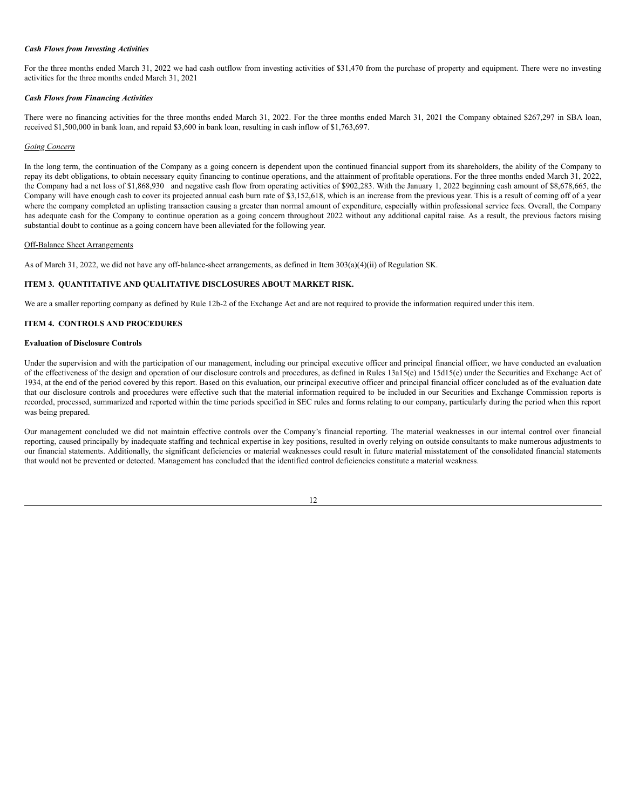# *Cash Flows from Investing Activities*

For the three months ended March 31, 2022 we had cash outflow from investing activities of \$31,470 from the purchase of property and equipment. There were no investing activities for the three months ended March 31, 2021

# *Cash Flows from Financing Activities*

There were no financing activities for the three months ended March 31, 2022. For the three months ended March 31, 2021 the Company obtained \$267,297 in SBA loan, received \$1,500,000 in bank loan, and repaid \$3,600 in bank loan, resulting in cash inflow of \$1,763,697.

#### *Going Concern*

In the long term, the continuation of the Company as a going concern is dependent upon the continued financial support from its shareholders, the ability of the Company to repay its debt obligations, to obtain necessary equity financing to continue operations, and the attainment of profitable operations. For the three months ended March 31, 2022, the Company had a net loss of \$1,868,930 and negative cash flow from operating activities of \$902,283. With the January 1, 2022 beginning cash amount of \$8,678,665, the Company will have enough cash to cover its projected annual cash burn rate of \$3,152,618, which is an increase from the previous year. This is a result of coming off of a year where the company completed an uplisting transaction causing a greater than normal amount of expenditure, especially within professional service fees. Overall, the Company has adequate cash for the Company to continue operation as a going concern throughout 2022 without any additional capital raise. As a result, the previous factors raising substantial doubt to continue as a going concern have been alleviated for the following year.

#### Off-Balance Sheet Arrangements

As of March 31, 2022, we did not have any off-balance-sheet arrangements, as defined in Item 303(a)(4)(ii) of Regulation SK.

#### <span id="page-30-0"></span>**ITEM 3. QUANTITATIVE AND QUALITATIVE DISCLOSURES ABOUT MARKET RISK.**

We are a smaller reporting company as defined by Rule 12b-2 of the Exchange Act and are not required to provide the information required under this item.

### <span id="page-30-1"></span>**ITEM 4. CONTROLS AND PROCEDURES**

### **Evaluation of Disclosure Controls**

Under the supervision and with the participation of our management, including our principal executive officer and principal financial officer, we have conducted an evaluation of the effectiveness of the design and operation of our disclosure controls and procedures, as defined in Rules 13a15(e) and 15d15(e) under the Securities and Exchange Act of 1934, at the end of the period covered by this report. Based on this evaluation, our principal executive officer and principal financial officer concluded as of the evaluation date that our disclosure controls and procedures were effective such that the material information required to be included in our Securities and Exchange Commission reports is recorded, processed, summarized and reported within the time periods specified in SEC rules and forms relating to our company, particularly during the period when this report was being prepared.

Our management concluded we did not maintain effective controls over the Company's financial reporting. The material weaknesses in our internal control over financial reporting, caused principally by inadequate staffing and technical expertise in key positions, resulted in overly relying on outside consultants to make numerous adjustments to our financial statements. Additionally, the significant deficiencies or material weaknesses could result in future material misstatement of the consolidated financial statements that would not be prevented or detected. Management has concluded that the identified control deficiencies constitute a material weakness.

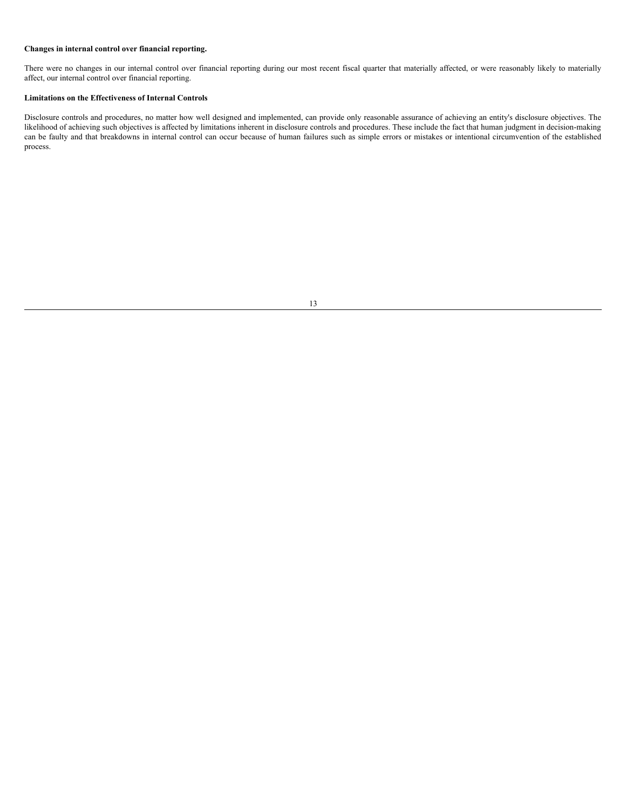## **Changes in internal control over financial reporting.**

There were no changes in our internal control over financial reporting during our most recent fiscal quarter that materially affected, or were reasonably likely to materially affect, our internal control over financial reporting.

# **Limitations on the Effectiveness of Internal Controls**

Disclosure controls and procedures, no matter how well designed and implemented, can provide only reasonable assurance of achieving an entity's disclosure objectives. The likelihood of achieving such objectives is affected by limitations inherent in disclosure controls and procedures. These include the fact that human judgment in decision-making can be faulty and that breakdowns in internal control can occur because of human failures such as simple errors or mistakes or intentional circumvention of the established process.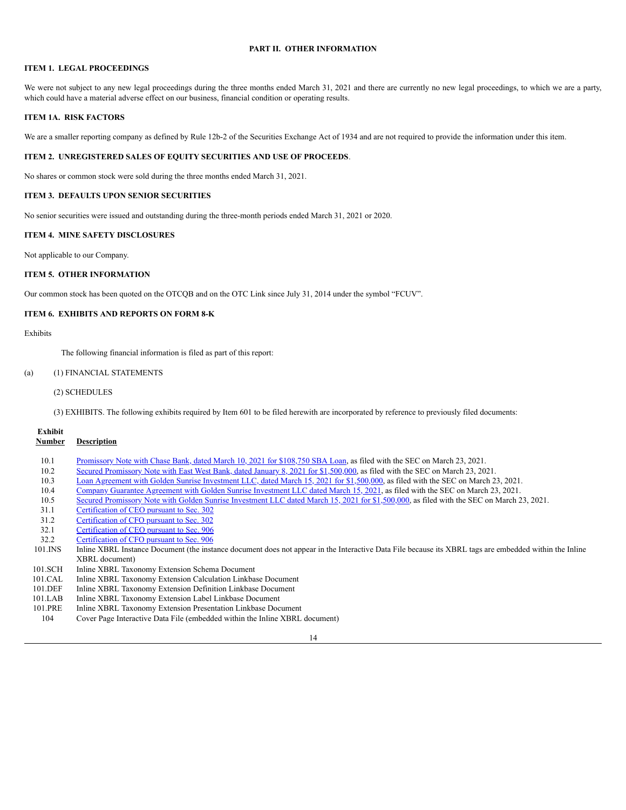## **PART II. OTHER INFORMATION**

# <span id="page-32-1"></span><span id="page-32-0"></span>**ITEM 1. LEGAL PROCEEDINGS**

We were not subject to any new legal proceedings during the three months ended March 31, 2021 and there are currently no new legal proceedings, to which we are a party, which could have a material adverse effect on our business, financial condition or operating results.

# <span id="page-32-2"></span>**ITEM 1A. RISK FACTORS**

We are a smaller reporting company as defined by Rule 12b-2 of the Securities Exchange Act of 1934 and are not required to provide the information under this item.

# <span id="page-32-3"></span>**ITEM 2. UNREGISTERED SALES OF EQUITY SECURITIES AND USE OF PROCEEDS**.

No shares or common stock were sold during the three months ended March 31, 2021.

# <span id="page-32-4"></span>**ITEM 3. DEFAULTS UPON SENIOR SECURITIES**

No senior securities were issued and outstanding during the three-month periods ended March 31, 2021 or 2020.

# <span id="page-32-5"></span>**ITEM 4. MINE SAFETY DISCLOSURES**

Not applicable to our Company.

# <span id="page-32-6"></span>**ITEM 5. OTHER INFORMATION**

Our common stock has been quoted on the OTCQB and on the OTC Link since July 31, 2014 under the symbol "FCUV".

# <span id="page-32-7"></span>**ITEM 6. EXHIBITS AND REPORTS ON FORM 8-K**

# Exhibits

The following financial information is filed as part of this report:

## (a) (1) FINANCIAL STATEMENTS

# (2) SCHEDULES

**Number Description**

(3) EXHIBITS. The following exhibits required by Item 601 to be filed herewith are incorporated by reference to previously filed documents:

# **Exhibit**

- 10.1 [Promissory](https://www.sec.gov/Archives/edgar/data/1590418/000168316821001026/focus_ex1008.htm) Note with Chase Bank, dated March 10, 2021 for \$108,750 SBA Loan, as filed with the SEC on March 23, 2021. 10.2 Secured [Promissory](https://www.sec.gov/Archives/edgar/data/1590418/000168316821001026/focus_ex1009.htm) Note with East West Bank, dated January 8, 2021 for \$1,500,000, as filed with the SEC on March 23, 2021.
- 10.3 Loan Agreement with Golden Sunrise Investment LLC, dated March 15, 2021 for [\\$1,500,000,](https://www.sec.gov/Archives/edgar/data/1590418/000168316821001026/focus_ex1010.htm) as filed with the SEC on March 23, 2021.
- 10.4 Company Guarantee Agreement with Golden Sunrise [Investment](https://www.sec.gov/Archives/edgar/data/1590418/000168316821001026/focus_ex1011.htm) LLC dated March 15, 2021, as filed with the SEC on March 23, 2021.
- 10.5 Secured Promissory Note with Golden Sunrise Investment LLC dated March 15, 2021 for [\\$1,500,000,](https://www.sec.gov/Archives/edgar/data/1590418/000168316821001026/focus_ex1012.htm) as filed with the SEC on March 23, 2021.
- 31.1 [Certification](https://s3.amazonaws.com/content.stockpr.com/sec/0001683168-22-003608/focus_ex3101.htm) of CEO pursuant to Sec. 302
- 31.2 [Certification](https://s3.amazonaws.com/content.stockpr.com/sec/0001683168-22-003608/focus_ex3102.htm) of CFO pursuant to Sec. 302
- 32.1 [Certification](https://s3.amazonaws.com/content.stockpr.com/sec/0001683168-22-003608/focus_ex3201.htm) of CEO pursuant to Sec. 906
- 32.2 [Certification](https://s3.amazonaws.com/content.stockpr.com/sec/0001683168-22-003608/focus_ex3202.htm) of CFO pursuant to Sec. 906

- 101.SCH Inline XBRL Taxonomy Extension Schema Document
- 101.CAL Inline XBRL Taxonomy Extension Calculation Linkbase Document
- 101.DEF Inline XBRL Taxonomy Extension Definition Linkbase Document
- 101.LAB Inline XBRL Taxonomy Extension Label Linkbase Document<br>101.PRE Inline XBRL Taxonomy Extension Presentation Linkbase Doc
- Inline XBRL Taxonomy Extension Presentation Linkbase Document
- 104 Cover Page Interactive Data File (embedded within the Inline XBRL document)

<sup>101.</sup>INS Inline XBRL Instance Document (the instance document does not appear in the Interactive Data File because its XBRL tags are embedded within the Inline XBRL document)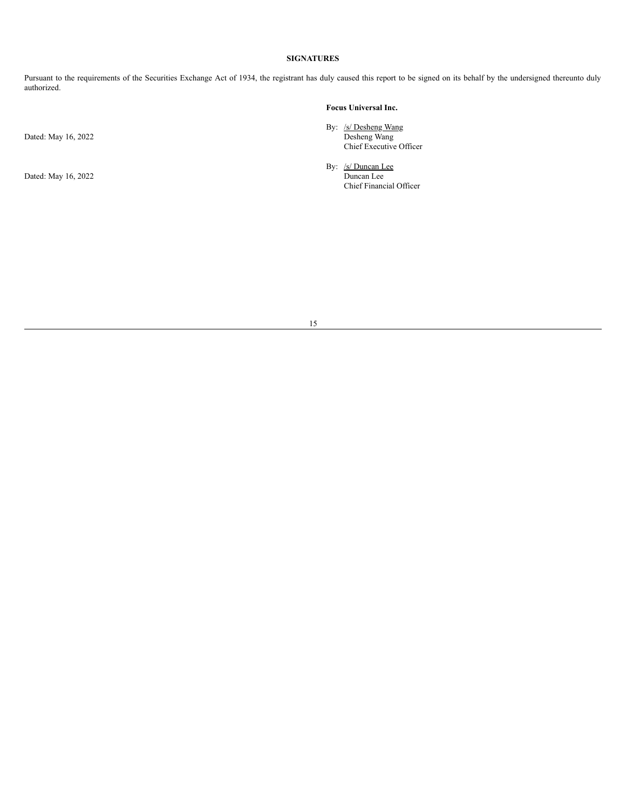# **SIGNATURES**

<span id="page-33-0"></span>Pursuant to the requirements of the Securities Exchange Act of 1934, the registrant has duly caused this report to be signed on its behalf by the undersigned thereunto duly authorized.

Dated: May 16, 2022 Dated: May 16, 2022

# **Focus Universal Inc.**

- By: /s/ Desheng Wang Desheng Wang Chief Executive Officer
- By: /s/ Duncan Lee Duncan Lee Chief Financial Officer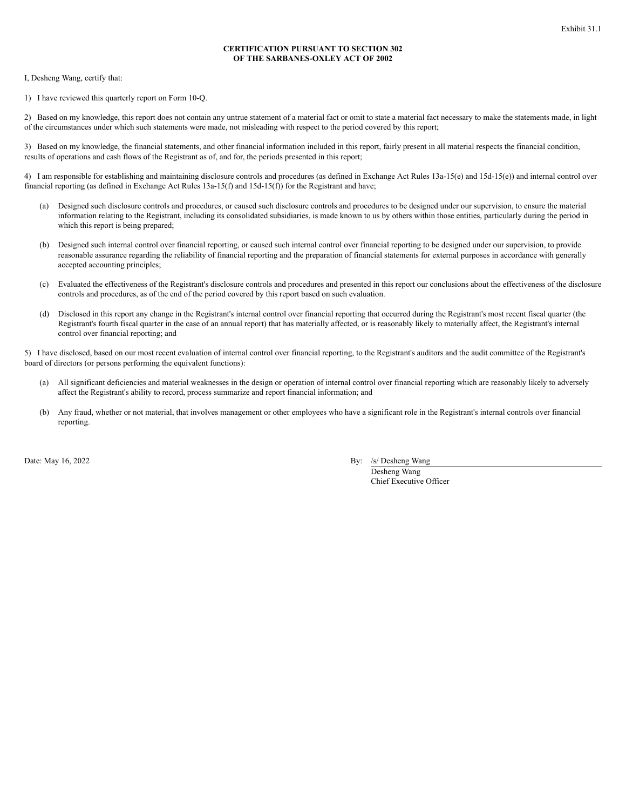# **CERTIFICATION PURSUANT TO SECTION 302 OF THE SARBANES-OXLEY ACT OF 2002**

I, Desheng Wang, certify that:

1) I have reviewed this quarterly report on Form 10-Q.

2) Based on my knowledge, this report does not contain any untrue statement of a material fact or omit to state a material fact necessary to make the statements made, in light of the circumstances under which such statements were made, not misleading with respect to the period covered by this report;

3) Based on my knowledge, the financial statements, and other financial information included in this report, fairly present in all material respects the financial condition, results of operations and cash flows of the Registrant as of, and for, the periods presented in this report;

4) I am responsible for establishing and maintaining disclosure controls and procedures (as defined in Exchange Act Rules 13a-15(e) and 15d-15(e)) and internal control over financial reporting (as defined in Exchange Act Rules 13a-15(f) and 15d-15(f)) for the Registrant and have;

- (a) Designed such disclosure controls and procedures, or caused such disclosure controls and procedures to be designed under our supervision, to ensure the material information relating to the Registrant, including its consolidated subsidiaries, is made known to us by others within those entities, particularly during the period in which this report is being prepared;
- (b) Designed such internal control over financial reporting, or caused such internal control over financial reporting to be designed under our supervision, to provide reasonable assurance regarding the reliability of financial reporting and the preparation of financial statements for external purposes in accordance with generally accepted accounting principles;
- (c) Evaluated the effectiveness of the Registrant's disclosure controls and procedures and presented in this report our conclusions about the effectiveness of the disclosure controls and procedures, as of the end of the period covered by this report based on such evaluation.
- (d) Disclosed in this report any change in the Registrant's internal control over financial reporting that occurred during the Registrant's most recent fiscal quarter (the Registrant's fourth fiscal quarter in the case of an annual report) that has materially affected, or is reasonably likely to materially affect, the Registrant's internal control over financial reporting; and

5) I have disclosed, based on our most recent evaluation of internal control over financial reporting, to the Registrant's auditors and the audit committee of the Registrant's board of directors (or persons performing the equivalent functions):

- (a) All significant deficiencies and material weaknesses in the design or operation of internal control over financial reporting which are reasonably likely to adversely affect the Registrant's ability to record, process summarize and report financial information; and
- (b) Any fraud, whether or not material, that involves management or other employees who have a significant role in the Registrant's internal controls over financial reporting.

Date: May 16, 2022 By: /s/ Desheng Wang

Desheng Wang Chief Executive Officer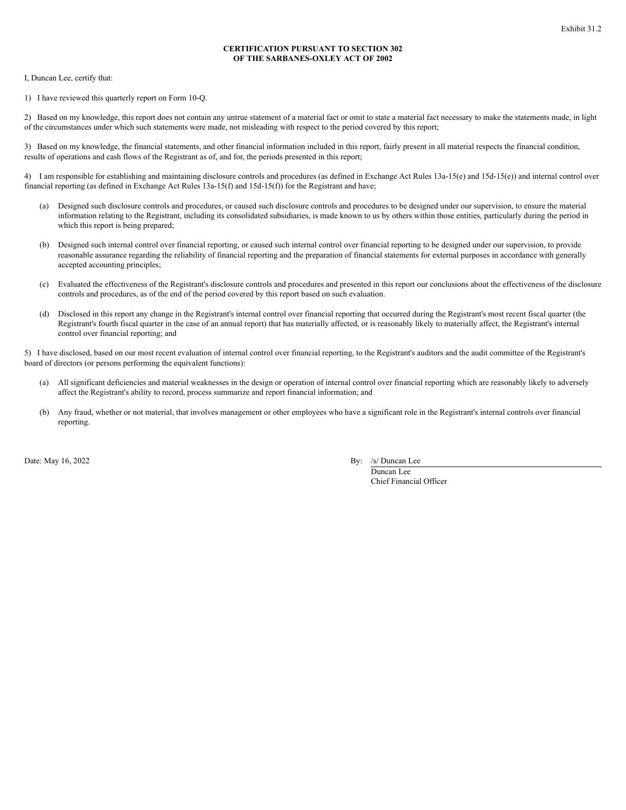# **CERTIFICATION PURSUANT TO SECTION 302 OF THE SARBANES-OXLEY ACT OF 2002**

I, Duncan Lee, certify that:

1) I have reviewed this quarterly report on Form 10-Q.

2) Based on my knowledge, this report does not contain any untrue statement of a material fact or omit to state a material fact necessary to make the statements made, in light of the circumstances under which such statements were made, not misleading with respect to the period covered by this report;

3) Based on my knowledge, the financial statements, and other financial information included in this report, fairly present in all material respects the financial condition, results of operations and cash flows of the Registrant as of, and for, the periods presented in this report;

4) I am responsible for establishing and maintaining disclosure controls and procedures (as defined in Exchange Act Rules 13a-15(e) and 15d-15(e)) and internal control over financial reporting (as defined in Exchange Act Rules 13a-15(f) and 15d-15(f)) for the Registrant and have;

- (a) Designed such disclosure controls and procedures, or caused such disclosure controls and procedures to be designed under our supervision, to ensure the material information relating to the Registrant, including its consolidated subsidiaries, is made known to us by others within those entities, particularly during the period in which this report is being prepared;
- (b) Designed such internal control over financial reporting, or caused such internal control over financial reporting to be designed under our supervision, to provide reasonable assurance regarding the reliability of financial reporting and the preparation of financial statements for external purposes in accordance with generally accepted accounting principles;
- (c) Evaluated the effectiveness of the Registrant's disclosure controls and procedures and presented in this report our conclusions about the effectiveness of the disclosure controls and procedures, as of the end of the period covered by this report based on such evaluation.
- (d) Disclosed in this report any change in the Registrant's internal control over financial reporting that occurred during the Registrant's most recent fiscal quarter (the Registrant's fourth fiscal quarter in the case of an annual report) that has materially affected, or is reasonably likely to materially affect, the Registrant's internal control over financial reporting; and

5) I have disclosed, based on our most recent evaluation of internal control over financial reporting, to the Registrant's auditors and the audit committee of the Registrant's board of directors (or persons performing the equivalent functions):

- (a) All significant deficiencies and material weaknesses in the design or operation of internal control over financial reporting which are reasonably likely to adversely affect the Registrant's ability to record, process summarize and report financial information; and
- (b) Any fraud, whether or not material, that involves management or other employees who have a significant role in the Registrant's internal controls over financial reporting.

Date: May 16, 2022 By: /s/ Duncan Lee

Duncan Lee Chief Financial Officer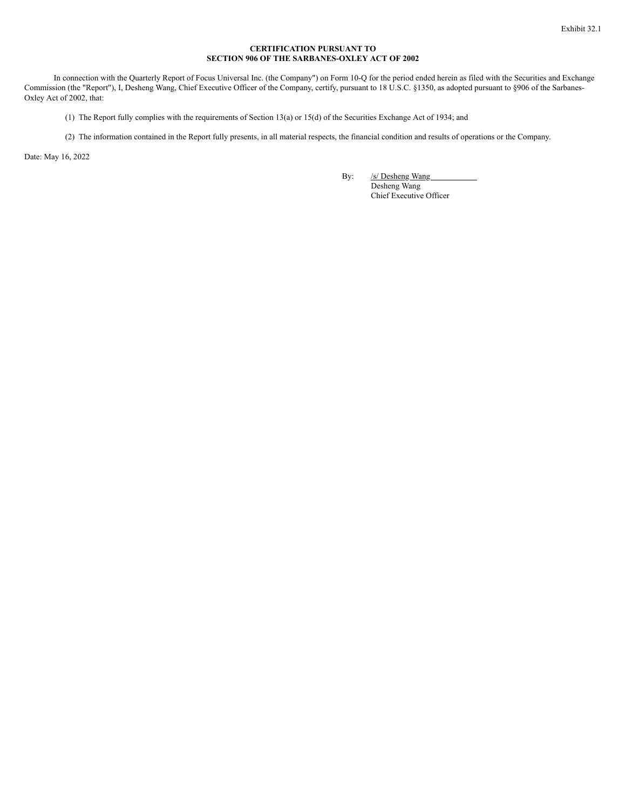# **CERTIFICATION PURSUANT TO SECTION 906 OF THE SARBANES-OXLEY ACT OF 2002**

In connection with the Quarterly Report of Focus Universal Inc. (the Company") on Form 10-Q for the period ended herein as filed with the Securities and Exchange Commission (the "Report"), I, Desheng Wang, Chief Executive Officer of the Company, certify, pursuant to 18 U.S.C. §1350, as adopted pursuant to §906 of the Sarbanes-Oxley Act of 2002, that:

- (1) The Report fully complies with the requirements of Section 13(a) or 15(d) of the Securities Exchange Act of 1934; and
- (2) The information contained in the Report fully presents, in all material respects, the financial condition and results of operations or the Company.

Date: May 16, 2022

By: /s/ Desheng Wang

Desheng Wang Chief Executive Officer